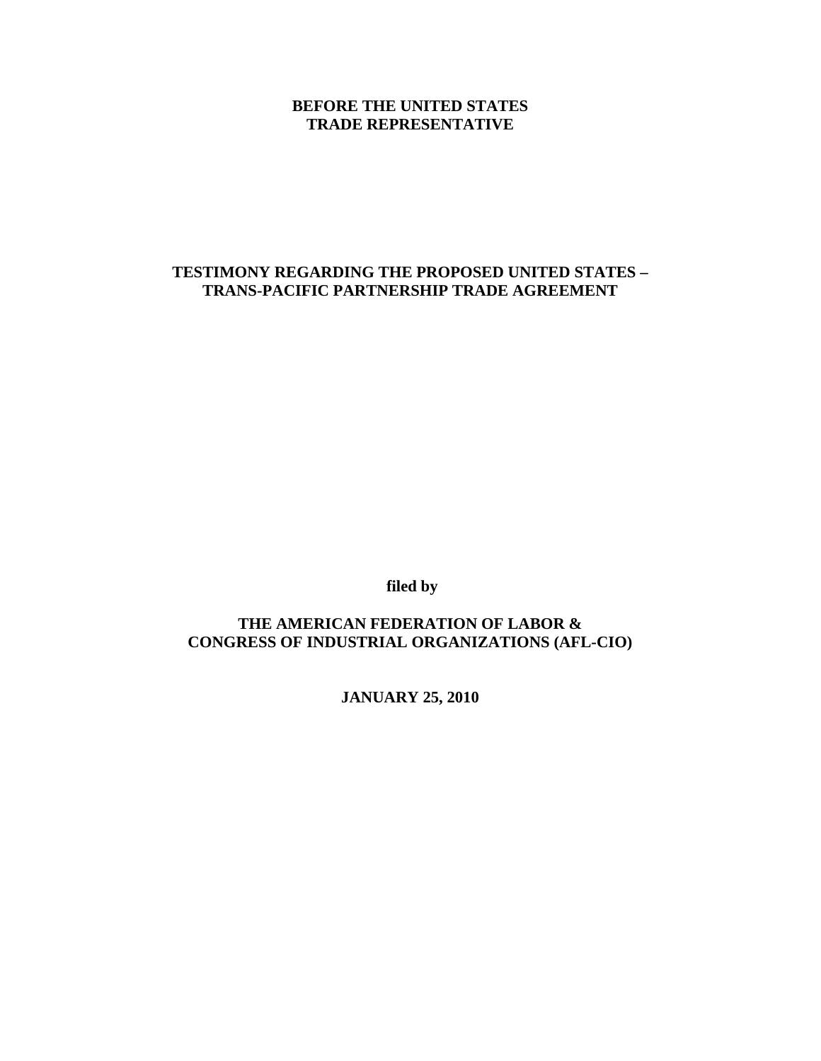#### **BEFORE THE UNITED STATES TRADE REPRESENTATIVE**

### **TESTIMONY REGARDING THE PROPOSED UNITED STATES – TRANS-PACIFIC PARTNERSHIP TRADE AGREEMENT**

 **filed by** 

**THE AMERICAN FEDERATION OF LABOR & CONGRESS OF INDUSTRIAL ORGANIZATIONS (AFL-CIO)** 

**JANUARY 25, 2010**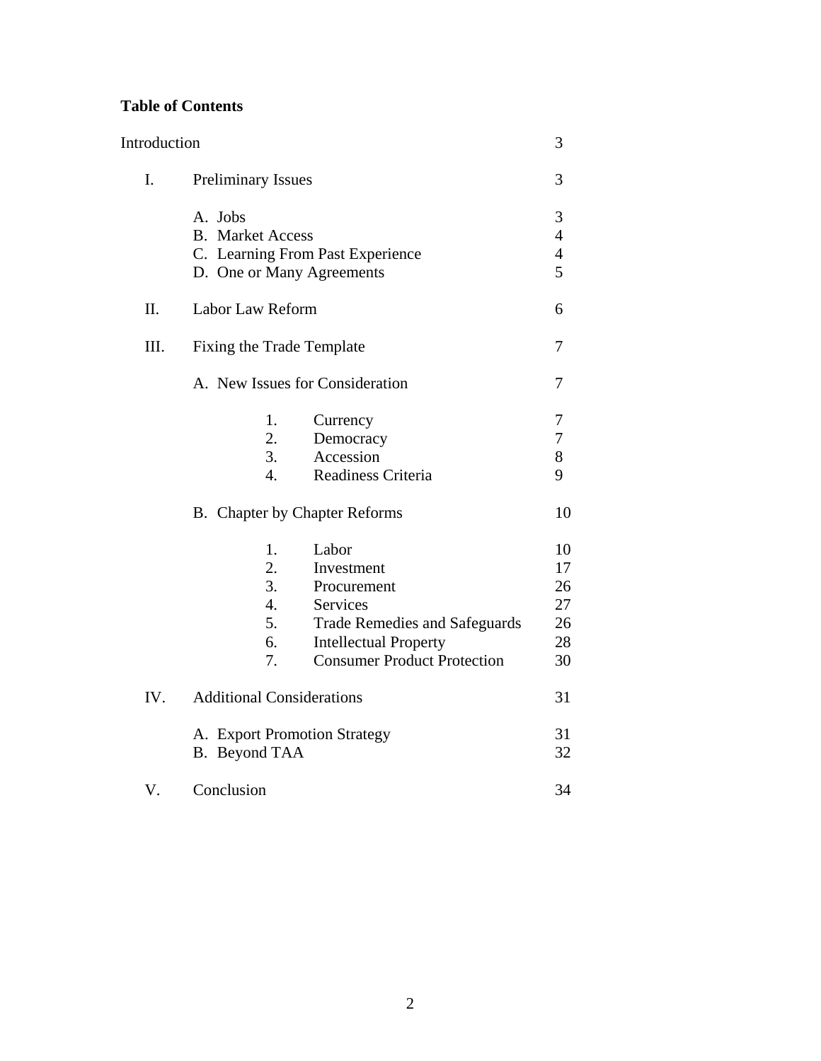# **Table of Contents**

| Introduction |                                                                                                                          |                                                                            | 3                                      |
|--------------|--------------------------------------------------------------------------------------------------------------------------|----------------------------------------------------------------------------|----------------------------------------|
| I.           | <b>Preliminary Issues</b>                                                                                                |                                                                            | 3                                      |
|              | A. Jobs<br><b>B.</b> Market Access<br>C. Learning From Past Experience<br>D. One or Many Agreements                      |                                                                            | 3<br>$\overline{4}$<br>$\frac{4}{5}$   |
| Π.           | Labor Law Reform                                                                                                         |                                                                            | 6                                      |
| III.         | Fixing the Trade Template                                                                                                |                                                                            | 7                                      |
|              | A. New Issues for Consideration                                                                                          |                                                                            | 7                                      |
|              | 1.<br>Currency<br>2.<br>Democracy<br>3.<br>Accession<br>Readiness Criteria<br>4.                                         |                                                                            | 7<br>$\boldsymbol{7}$<br>8<br>9        |
|              | B. Chapter by Chapter Reforms                                                                                            |                                                                            | 10                                     |
|              | Labor<br>1.<br>2.<br>Investment<br>3.<br>Procurement<br>4.<br>Services<br>5.<br>6.<br><b>Intellectual Property</b><br>7. | <b>Trade Remedies and Safeguards</b><br><b>Consumer Product Protection</b> | 10<br>17<br>26<br>27<br>26<br>28<br>30 |
| IV.          | <b>Additional Considerations</b>                                                                                         |                                                                            | 31                                     |
|              | A. Export Promotion Strategy<br>B. Beyond TAA                                                                            |                                                                            | 31<br>32                               |
| V.           | Conclusion                                                                                                               |                                                                            | 34                                     |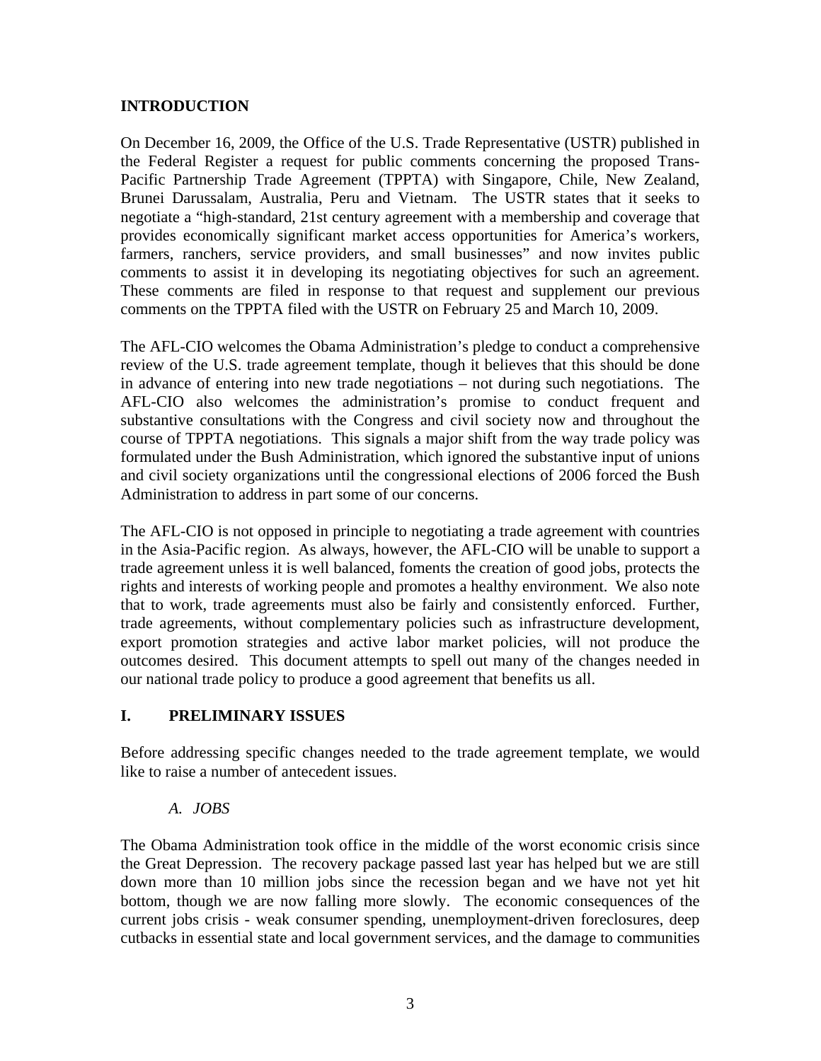#### **INTRODUCTION**

On December 16, 2009, the Office of the U.S. Trade Representative (USTR) published in the Federal Register a request for public comments concerning the proposed Trans-Pacific Partnership Trade Agreement (TPPTA) with Singapore, Chile, New Zealand, Brunei Darussalam, Australia, Peru and Vietnam. The USTR states that it seeks to negotiate a "high-standard, 21st century agreement with a membership and coverage that provides economically significant market access opportunities for America's workers, farmers, ranchers, service providers, and small businesses" and now invites public comments to assist it in developing its negotiating objectives for such an agreement. These comments are filed in response to that request and supplement our previous comments on the TPPTA filed with the USTR on February 25 and March 10, 2009.

The AFL-CIO welcomes the Obama Administration's pledge to conduct a comprehensive review of the U.S. trade agreement template, though it believes that this should be done in advance of entering into new trade negotiations – not during such negotiations. The AFL-CIO also welcomes the administration's promise to conduct frequent and substantive consultations with the Congress and civil society now and throughout the course of TPPTA negotiations. This signals a major shift from the way trade policy was formulated under the Bush Administration, which ignored the substantive input of unions and civil society organizations until the congressional elections of 2006 forced the Bush Administration to address in part some of our concerns.

The AFL-CIO is not opposed in principle to negotiating a trade agreement with countries in the Asia-Pacific region. As always, however, the AFL-CIO will be unable to support a trade agreement unless it is well balanced, foments the creation of good jobs, protects the rights and interests of working people and promotes a healthy environment. We also note that to work, trade agreements must also be fairly and consistently enforced. Further, trade agreements, without complementary policies such as infrastructure development, export promotion strategies and active labor market policies, will not produce the outcomes desired. This document attempts to spell out many of the changes needed in our national trade policy to produce a good agreement that benefits us all.

### **I. PRELIMINARY ISSUES**

Before addressing specific changes needed to the trade agreement template, we would like to raise a number of antecedent issues.

#### *A. JOBS*

The Obama Administration took office in the middle of the worst economic crisis since the Great Depression. The recovery package passed last year has helped but we are still down more than 10 million jobs since the recession began and we have not yet hit bottom, though we are now falling more slowly. The economic consequences of the current jobs crisis - weak consumer spending, unemployment-driven foreclosures, deep cutbacks in essential state and local government services, and the damage to communities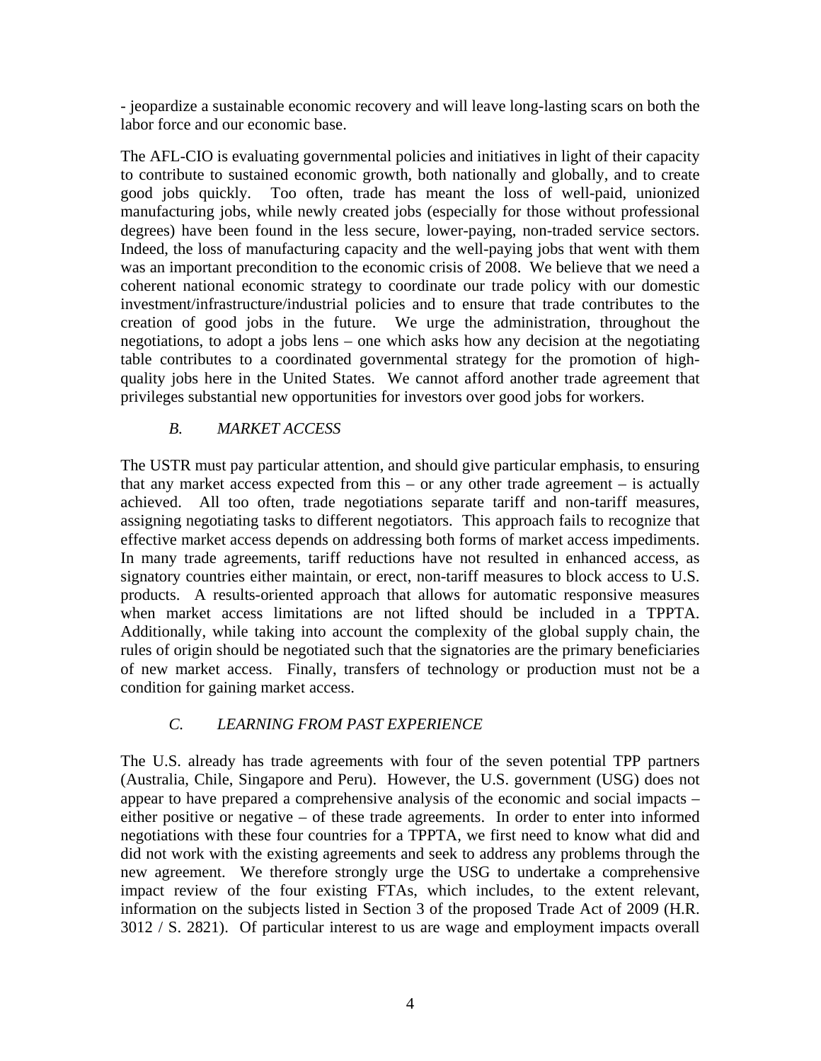- jeopardize a sustainable economic recovery and will leave long-lasting scars on both the labor force and our economic base.

The AFL-CIO is evaluating governmental policies and initiatives in light of their capacity to contribute to sustained economic growth, both nationally and globally, and to create good jobs quickly. Too often, trade has meant the loss of well-paid, unionized manufacturing jobs, while newly created jobs (especially for those without professional degrees) have been found in the less secure, lower-paying, non-traded service sectors. Indeed, the loss of manufacturing capacity and the well-paying jobs that went with them was an important precondition to the economic crisis of 2008. We believe that we need a coherent national economic strategy to coordinate our trade policy with our domestic investment/infrastructure/industrial policies and to ensure that trade contributes to the creation of good jobs in the future. We urge the administration, throughout the negotiations, to adopt a jobs lens – one which asks how any decision at the negotiating table contributes to a coordinated governmental strategy for the promotion of highquality jobs here in the United States. We cannot afford another trade agreement that privileges substantial new opportunities for investors over good jobs for workers.

### *B. MARKET ACCESS*

The USTR must pay particular attention, and should give particular emphasis, to ensuring that any market access expected from this – or any other trade agreement – is actually achieved. All too often, trade negotiations separate tariff and non-tariff measures, assigning negotiating tasks to different negotiators. This approach fails to recognize that effective market access depends on addressing both forms of market access impediments. In many trade agreements, tariff reductions have not resulted in enhanced access, as signatory countries either maintain, or erect, non-tariff measures to block access to U.S. products. A results-oriented approach that allows for automatic responsive measures when market access limitations are not lifted should be included in a TPPTA. Additionally, while taking into account the complexity of the global supply chain, the rules of origin should be negotiated such that the signatories are the primary beneficiaries of new market access. Finally, transfers of technology or production must not be a condition for gaining market access.

## *C. LEARNING FROM PAST EXPERIENCE*

The U.S. already has trade agreements with four of the seven potential TPP partners (Australia, Chile, Singapore and Peru). However, the U.S. government (USG) does not appear to have prepared a comprehensive analysis of the economic and social impacts – either positive or negative – of these trade agreements. In order to enter into informed negotiations with these four countries for a TPPTA, we first need to know what did and did not work with the existing agreements and seek to address any problems through the new agreement. We therefore strongly urge the USG to undertake a comprehensive impact review of the four existing FTAs, which includes, to the extent relevant, information on the subjects listed in Section 3 of the proposed Trade Act of 2009 (H.R. 3012 / S. 2821). Of particular interest to us are wage and employment impacts overall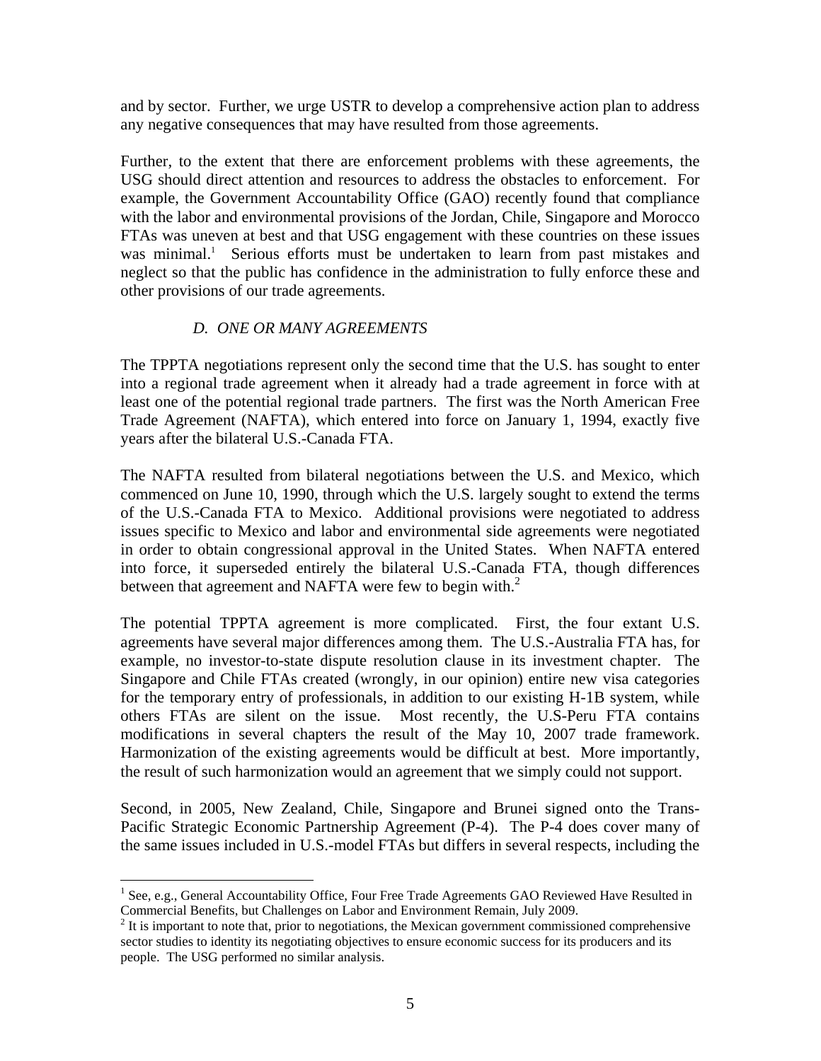and by sector. Further, we urge USTR to develop a comprehensive action plan to address any negative consequences that may have resulted from those agreements.

Further, to the extent that there are enforcement problems with these agreements, the USG should direct attention and resources to address the obstacles to enforcement. For example, the Government Accountability Office (GAO) recently found that compliance with the labor and environmental provisions of the Jordan, Chile, Singapore and Morocco FTAs was uneven at best and that USG engagement with these countries on these issues was minimal.<sup>1</sup> Serious efforts must be undertaken to learn from past mistakes and neglect so that the public has confidence in the administration to fully enforce these and other provisions of our trade agreements.

### *D. ONE OR MANY AGREEMENTS*

The TPPTA negotiations represent only the second time that the U.S. has sought to enter into a regional trade agreement when it already had a trade agreement in force with at least one of the potential regional trade partners. The first was the North American Free Trade Agreement (NAFTA), which entered into force on January 1, 1994, exactly five years after the bilateral U.S.-Canada FTA.

The NAFTA resulted from bilateral negotiations between the U.S. and Mexico, which commenced on June 10, 1990, through which the U.S. largely sought to extend the terms of the U.S.-Canada FTA to Mexico. Additional provisions were negotiated to address issues specific to Mexico and labor and environmental side agreements were negotiated in order to obtain congressional approval in the United States. When NAFTA entered into force, it superseded entirely the bilateral U.S.-Canada FTA, though differences between that agreement and NAFTA were few to begin with. $2<sup>2</sup>$ 

The potential TPPTA agreement is more complicated. First, the four extant U.S. agreements have several major differences among them. The U.S.-Australia FTA has, for example, no investor-to-state dispute resolution clause in its investment chapter. The Singapore and Chile FTAs created (wrongly, in our opinion) entire new visa categories for the temporary entry of professionals, in addition to our existing H-1B system, while others FTAs are silent on the issue. Most recently, the U.S-Peru FTA contains modifications in several chapters the result of the May 10, 2007 trade framework. Harmonization of the existing agreements would be difficult at best. More importantly, the result of such harmonization would an agreement that we simply could not support.

Second, in 2005, New Zealand, Chile, Singapore and Brunei signed onto the Trans-Pacific Strategic Economic Partnership Agreement (P-4). The P-4 does cover many of the same issues included in U.S.-model FTAs but differs in several respects, including the

 $\overline{a}$ 

<sup>&</sup>lt;sup>1</sup> See, e.g., General Accountability Office, Four Free Trade Agreements GAO Reviewed Have Resulted in Commercial Benefits, but Challenges on Labor and Environment Remain, July 2009.

 $2$  It is important to note that, prior to negotiations, the Mexican government commissioned comprehensive sector studies to identity its negotiating objectives to ensure economic success for its producers and its people. The USG performed no similar analysis.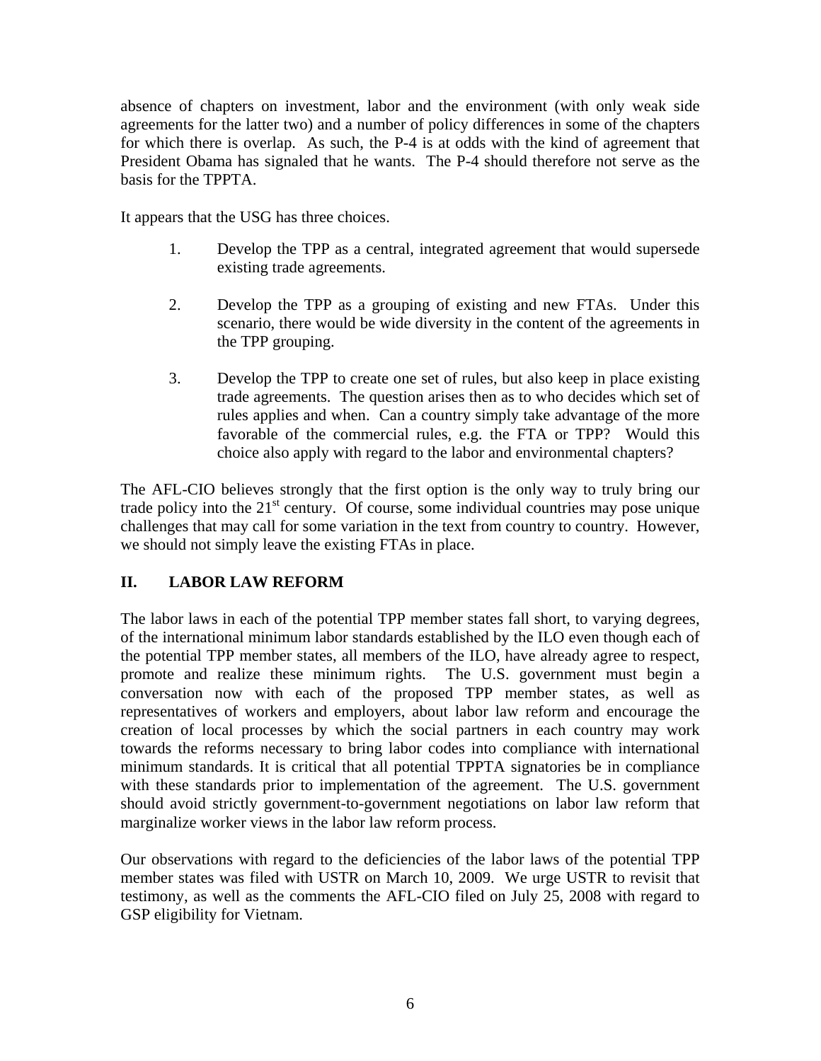absence of chapters on investment, labor and the environment (with only weak side agreements for the latter two) and a number of policy differences in some of the chapters for which there is overlap. As such, the P-4 is at odds with the kind of agreement that President Obama has signaled that he wants. The P-4 should therefore not serve as the basis for the TPPTA.

It appears that the USG has three choices.

- 1. Develop the TPP as a central, integrated agreement that would supersede existing trade agreements.
- 2. Develop the TPP as a grouping of existing and new FTAs. Under this scenario, there would be wide diversity in the content of the agreements in the TPP grouping.
- 3. Develop the TPP to create one set of rules, but also keep in place existing trade agreements. The question arises then as to who decides which set of rules applies and when. Can a country simply take advantage of the more favorable of the commercial rules, e.g. the FTA or TPP? Would this choice also apply with regard to the labor and environmental chapters?

The AFL-CIO believes strongly that the first option is the only way to truly bring our trade policy into the  $21<sup>st</sup>$  century. Of course, some individual countries may pose unique challenges that may call for some variation in the text from country to country. However, we should not simply leave the existing FTAs in place.

## **II. LABOR LAW REFORM**

The labor laws in each of the potential TPP member states fall short, to varying degrees, of the international minimum labor standards established by the ILO even though each of the potential TPP member states, all members of the ILO, have already agree to respect, promote and realize these minimum rights. The U.S. government must begin a conversation now with each of the proposed TPP member states, as well as representatives of workers and employers, about labor law reform and encourage the creation of local processes by which the social partners in each country may work towards the reforms necessary to bring labor codes into compliance with international minimum standards. It is critical that all potential TPPTA signatories be in compliance with these standards prior to implementation of the agreement. The U.S. government should avoid strictly government-to-government negotiations on labor law reform that marginalize worker views in the labor law reform process.

Our observations with regard to the deficiencies of the labor laws of the potential TPP member states was filed with USTR on March 10, 2009. We urge USTR to revisit that testimony, as well as the comments the AFL-CIO filed on July 25, 2008 with regard to GSP eligibility for Vietnam.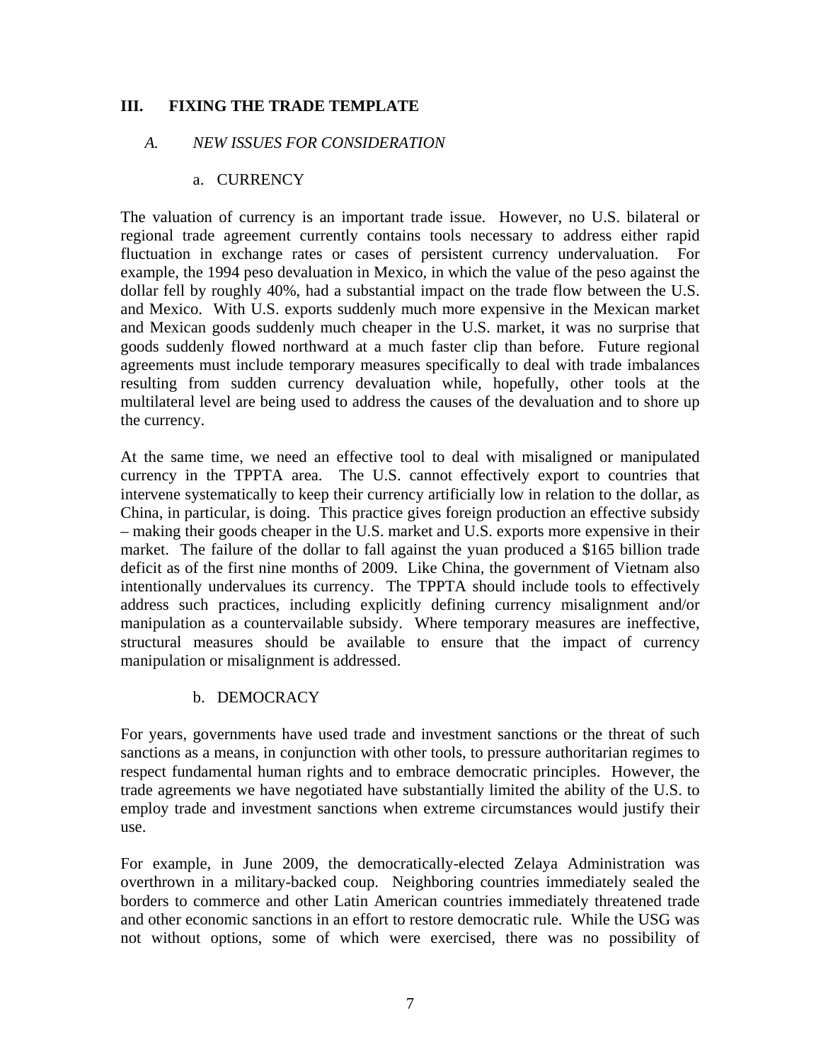### **III. FIXING THE TRADE TEMPLATE**

#### *A. NEW ISSUES FOR CONSIDERATION*

#### a. CURRENCY

The valuation of currency is an important trade issue. However, no U.S. bilateral or regional trade agreement currently contains tools necessary to address either rapid fluctuation in exchange rates or cases of persistent currency undervaluation. For example, the 1994 peso devaluation in Mexico, in which the value of the peso against the dollar fell by roughly 40%, had a substantial impact on the trade flow between the U.S. and Mexico. With U.S. exports suddenly much more expensive in the Mexican market and Mexican goods suddenly much cheaper in the U.S. market, it was no surprise that goods suddenly flowed northward at a much faster clip than before. Future regional agreements must include temporary measures specifically to deal with trade imbalances resulting from sudden currency devaluation while, hopefully, other tools at the multilateral level are being used to address the causes of the devaluation and to shore up the currency.

At the same time, we need an effective tool to deal with misaligned or manipulated currency in the TPPTA area. The U.S. cannot effectively export to countries that intervene systematically to keep their currency artificially low in relation to the dollar, as China, in particular, is doing. This practice gives foreign production an effective subsidy – making their goods cheaper in the U.S. market and U.S. exports more expensive in their market. The failure of the dollar to fall against the yuan produced a \$165 billion trade deficit as of the first nine months of 2009. Like China, the government of Vietnam also intentionally undervalues its currency. The TPPTA should include tools to effectively address such practices, including explicitly defining currency misalignment and/or manipulation as a countervailable subsidy. Where temporary measures are ineffective, structural measures should be available to ensure that the impact of currency manipulation or misalignment is addressed.

#### b. DEMOCRACY

For years, governments have used trade and investment sanctions or the threat of such sanctions as a means, in conjunction with other tools, to pressure authoritarian regimes to respect fundamental human rights and to embrace democratic principles. However, the trade agreements we have negotiated have substantially limited the ability of the U.S. to employ trade and investment sanctions when extreme circumstances would justify their use.

For example, in June 2009, the democratically-elected Zelaya Administration was overthrown in a military-backed coup. Neighboring countries immediately sealed the borders to commerce and other Latin American countries immediately threatened trade and other economic sanctions in an effort to restore democratic rule. While the USG was not without options, some of which were exercised, there was no possibility of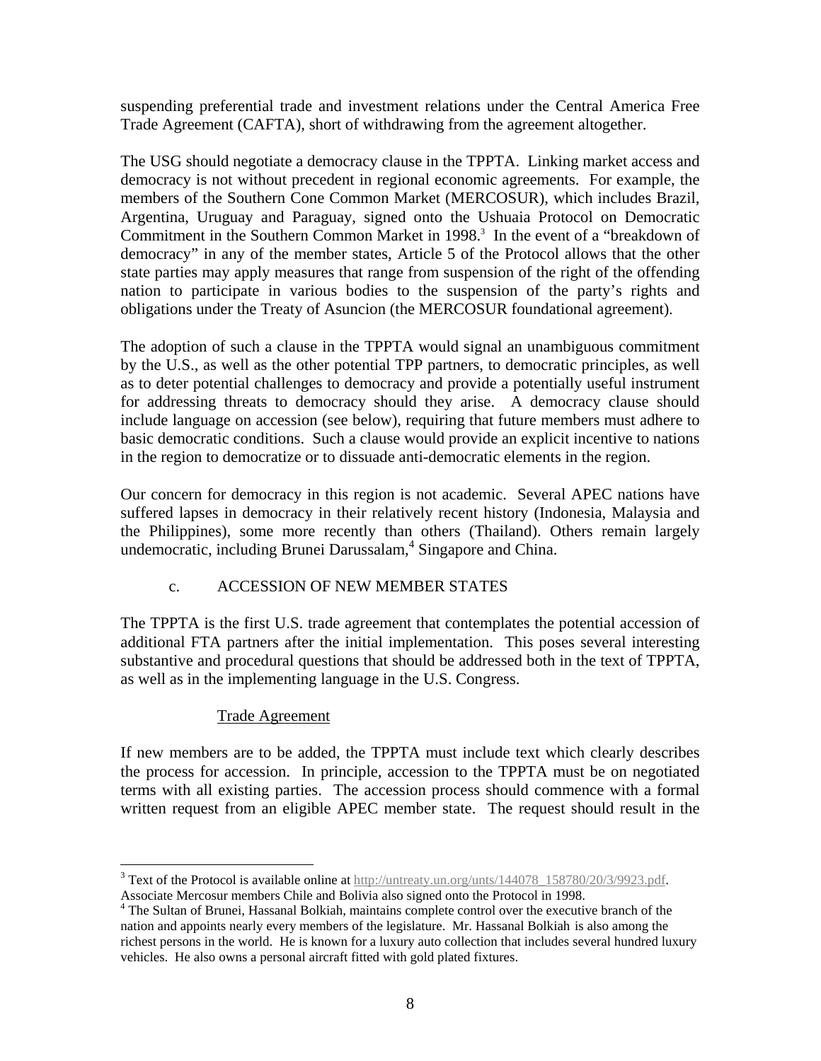suspending preferential trade and investment relations under the Central America Free Trade Agreement (CAFTA), short of withdrawing from the agreement altogether.

The USG should negotiate a democracy clause in the TPPTA. Linking market access and democracy is not without precedent in regional economic agreements. For example, the members of the Southern Cone Common Market (MERCOSUR), which includes Brazil, Argentina, Uruguay and Paraguay, signed onto the Ushuaia Protocol on Democratic Commitment in the Southern Common Market in 1998.<sup>3</sup> In the event of a "breakdown of democracy" in any of the member states, Article 5 of the Protocol allows that the other state parties may apply measures that range from suspension of the right of the offending nation to participate in various bodies to the suspension of the party's rights and obligations under the Treaty of Asuncion (the MERCOSUR foundational agreement).

The adoption of such a clause in the TPPTA would signal an unambiguous commitment by the U.S., as well as the other potential TPP partners, to democratic principles, as well as to deter potential challenges to democracy and provide a potentially useful instrument for addressing threats to democracy should they arise. A democracy clause should include language on accession (see below), requiring that future members must adhere to basic democratic conditions. Such a clause would provide an explicit incentive to nations in the region to democratize or to dissuade anti-democratic elements in the region.

Our concern for democracy in this region is not academic. Several APEC nations have suffered lapses in democracy in their relatively recent history (Indonesia, Malaysia and the Philippines), some more recently than others (Thailand). Others remain largely undemocratic, including Brunei Darussalam,<sup>4</sup> Singapore and China.

### c. ACCESSION OF NEW MEMBER STATES

The TPPTA is the first U.S. trade agreement that contemplates the potential accession of additional FTA partners after the initial implementation. This poses several interesting substantive and procedural questions that should be addressed both in the text of TPPTA, as well as in the implementing language in the U.S. Congress.

### Trade Agreement

 $\overline{a}$ 

If new members are to be added, the TPPTA must include text which clearly describes the process for accession. In principle, accession to the TPPTA must be on negotiated terms with all existing parties. The accession process should commence with a formal written request from an eligible APEC member state. The request should result in the

 $3$  Text of the Protocol is available online at http://untreaty.un.org/unts/144078\_158780/20/3/9923.pdf. Associate Mercosur members Chile and Bolivia also signed onto the Protocol in 1998.

<sup>&</sup>lt;sup>4</sup> The Sultan of Brunei, Hassanal Bolkiah, maintains complete control over the executive branch of the nation and appoints nearly every members of the legislature. Mr. Hassanal Bolkiah is also among the richest persons in the world. He is known for a luxury auto collection that includes several hundred luxury vehicles. He also owns a personal aircraft fitted with gold plated fixtures.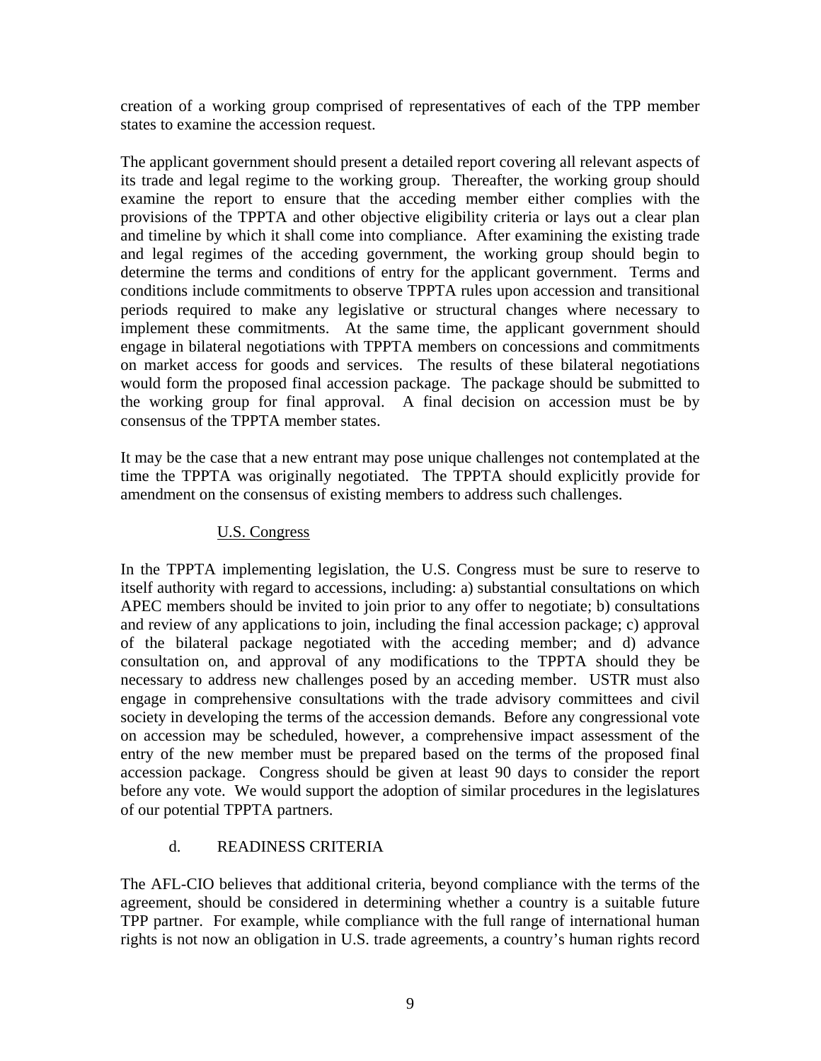creation of a working group comprised of representatives of each of the TPP member states to examine the accession request.

The applicant government should present a detailed report covering all relevant aspects of its trade and legal regime to the working group. Thereafter, the working group should examine the report to ensure that the acceding member either complies with the provisions of the TPPTA and other objective eligibility criteria or lays out a clear plan and timeline by which it shall come into compliance. After examining the existing trade and legal regimes of the acceding government, the working group should begin to determine the terms and conditions of entry for the applicant government. Terms and conditions include commitments to observe TPPTA rules upon accession and transitional periods required to make any legislative or structural changes where necessary to implement these commitments. At the same time, the applicant government should engage in bilateral negotiations with TPPTA members on concessions and commitments on market access for goods and services. The results of these bilateral negotiations would form the proposed final accession package. The package should be submitted to the working group for final approval. A final decision on accession must be by consensus of the TPPTA member states.

It may be the case that a new entrant may pose unique challenges not contemplated at the time the TPPTA was originally negotiated. The TPPTA should explicitly provide for amendment on the consensus of existing members to address such challenges.

#### U.S. Congress

In the TPPTA implementing legislation, the U.S. Congress must be sure to reserve to itself authority with regard to accessions, including: a) substantial consultations on which APEC members should be invited to join prior to any offer to negotiate; b) consultations and review of any applications to join, including the final accession package; c) approval of the bilateral package negotiated with the acceding member; and d) advance consultation on, and approval of any modifications to the TPPTA should they be necessary to address new challenges posed by an acceding member. USTR must also engage in comprehensive consultations with the trade advisory committees and civil society in developing the terms of the accession demands. Before any congressional vote on accession may be scheduled, however, a comprehensive impact assessment of the entry of the new member must be prepared based on the terms of the proposed final accession package. Congress should be given at least 90 days to consider the report before any vote. We would support the adoption of similar procedures in the legislatures of our potential TPPTA partners.

### d. READINESS CRITERIA

The AFL-CIO believes that additional criteria, beyond compliance with the terms of the agreement, should be considered in determining whether a country is a suitable future TPP partner. For example, while compliance with the full range of international human rights is not now an obligation in U.S. trade agreements, a country's human rights record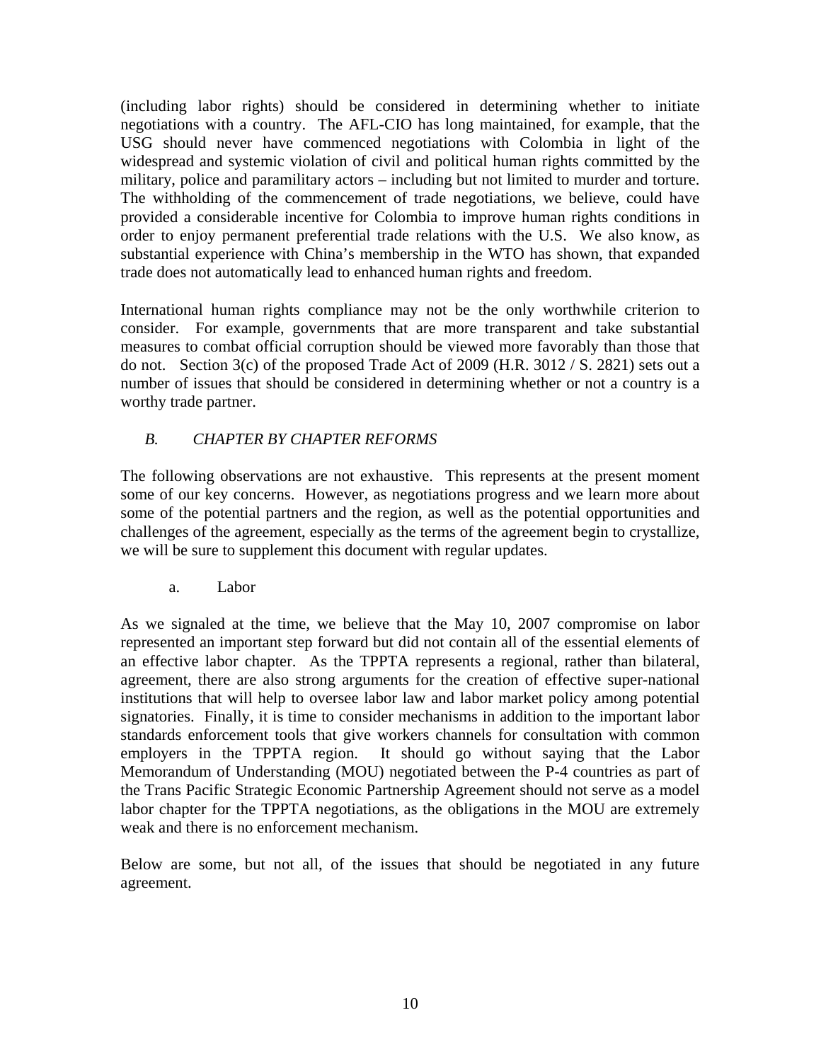(including labor rights) should be considered in determining whether to initiate negotiations with a country. The AFL-CIO has long maintained, for example, that the USG should never have commenced negotiations with Colombia in light of the widespread and systemic violation of civil and political human rights committed by the military, police and paramilitary actors – including but not limited to murder and torture. The withholding of the commencement of trade negotiations, we believe, could have provided a considerable incentive for Colombia to improve human rights conditions in order to enjoy permanent preferential trade relations with the U.S. We also know, as substantial experience with China's membership in the WTO has shown, that expanded trade does not automatically lead to enhanced human rights and freedom.

International human rights compliance may not be the only worthwhile criterion to consider. For example, governments that are more transparent and take substantial measures to combat official corruption should be viewed more favorably than those that do not. Section 3(c) of the proposed Trade Act of 2009 (H.R. 3012 / S. 2821) sets out a number of issues that should be considered in determining whether or not a country is a worthy trade partner.

## *B. CHAPTER BY CHAPTER REFORMS*

The following observations are not exhaustive. This represents at the present moment some of our key concerns. However, as negotiations progress and we learn more about some of the potential partners and the region, as well as the potential opportunities and challenges of the agreement, especially as the terms of the agreement begin to crystallize, we will be sure to supplement this document with regular updates.

a. Labor

As we signaled at the time, we believe that the May 10, 2007 compromise on labor represented an important step forward but did not contain all of the essential elements of an effective labor chapter. As the TPPTA represents a regional, rather than bilateral, agreement, there are also strong arguments for the creation of effective super-national institutions that will help to oversee labor law and labor market policy among potential signatories. Finally, it is time to consider mechanisms in addition to the important labor standards enforcement tools that give workers channels for consultation with common employers in the TPPTA region. It should go without saying that the Labor Memorandum of Understanding (MOU) negotiated between the P-4 countries as part of the Trans Pacific Strategic Economic Partnership Agreement should not serve as a model labor chapter for the TPPTA negotiations, as the obligations in the MOU are extremely weak and there is no enforcement mechanism.

Below are some, but not all, of the issues that should be negotiated in any future agreement.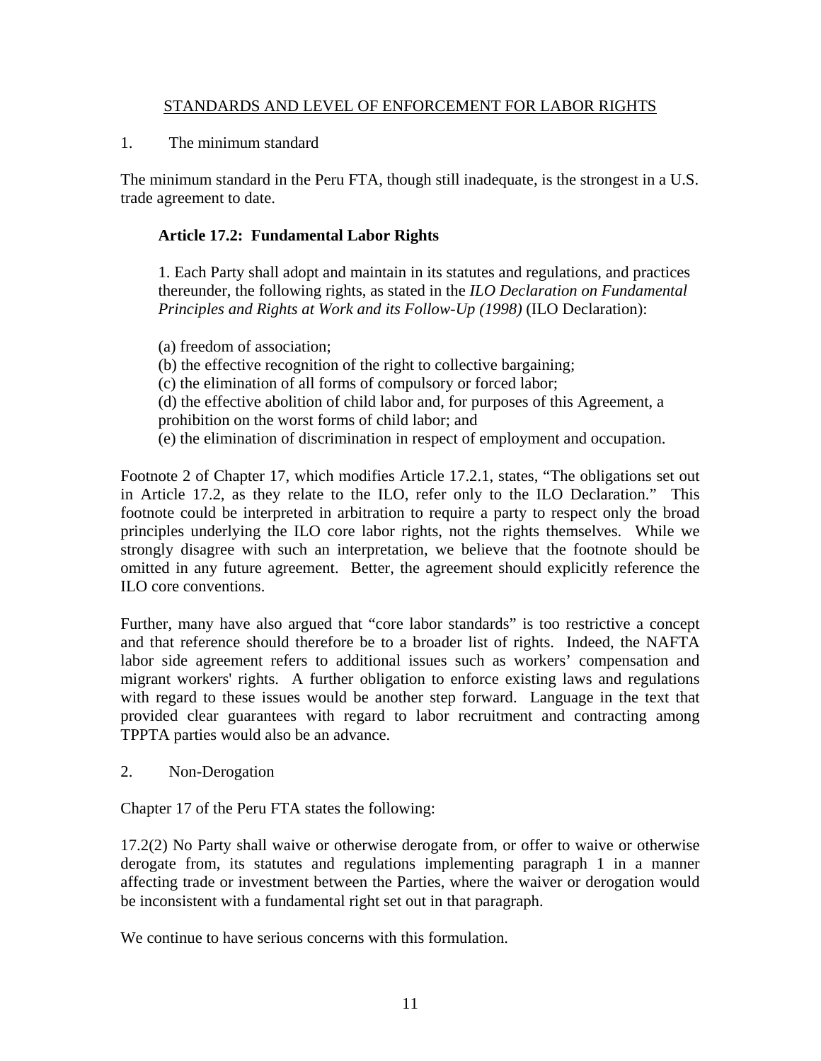#### STANDARDS AND LEVEL OF ENFORCEMENT FOR LABOR RIGHTS

1. The minimum standard

The minimum standard in the Peru FTA, though still inadequate, is the strongest in a U.S. trade agreement to date.

#### **Article 17.2: Fundamental Labor Rights**

1. Each Party shall adopt and maintain in its statutes and regulations, and practices thereunder, the following rights, as stated in the *ILO Declaration on Fundamental Principles and Rights at Work and its Follow-Up (1998)* (ILO Declaration):

- (a) freedom of association;
- (b) the effective recognition of the right to collective bargaining;
- (c) the elimination of all forms of compulsory or forced labor;
- (d) the effective abolition of child labor and, for purposes of this Agreement, a
- prohibition on the worst forms of child labor; and
- (e) the elimination of discrimination in respect of employment and occupation.

Footnote 2 of Chapter 17, which modifies Article 17.2.1, states, "The obligations set out in Article 17.2, as they relate to the ILO, refer only to the ILO Declaration." This footnote could be interpreted in arbitration to require a party to respect only the broad principles underlying the ILO core labor rights, not the rights themselves. While we strongly disagree with such an interpretation, we believe that the footnote should be omitted in any future agreement. Better, the agreement should explicitly reference the ILO core conventions.

Further, many have also argued that "core labor standards" is too restrictive a concept and that reference should therefore be to a broader list of rights. Indeed, the NAFTA labor side agreement refers to additional issues such as workers' compensation and migrant workers' rights. A further obligation to enforce existing laws and regulations with regard to these issues would be another step forward. Language in the text that provided clear guarantees with regard to labor recruitment and contracting among TPPTA parties would also be an advance.

2. Non-Derogation

Chapter 17 of the Peru FTA states the following:

17.2(2) No Party shall waive or otherwise derogate from, or offer to waive or otherwise derogate from, its statutes and regulations implementing paragraph 1 in a manner affecting trade or investment between the Parties, where the waiver or derogation would be inconsistent with a fundamental right set out in that paragraph.

We continue to have serious concerns with this formulation.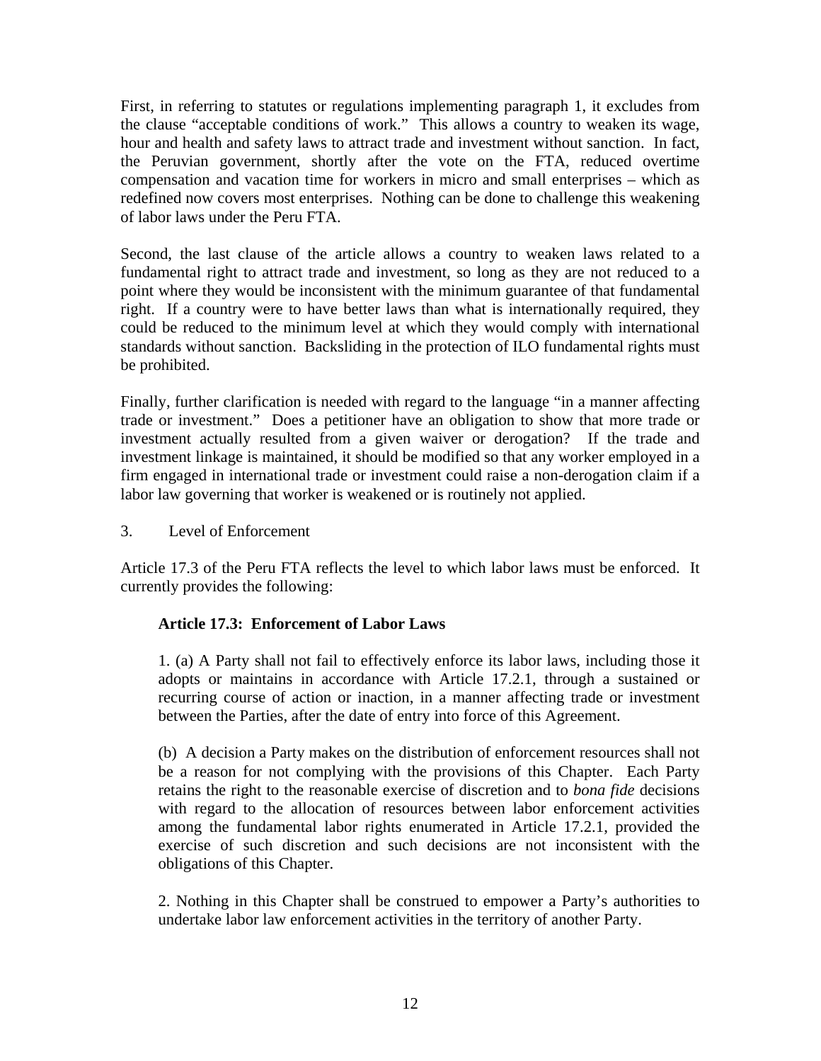First, in referring to statutes or regulations implementing paragraph 1, it excludes from the clause "acceptable conditions of work." This allows a country to weaken its wage, hour and health and safety laws to attract trade and investment without sanction. In fact, the Peruvian government, shortly after the vote on the FTA, reduced overtime compensation and vacation time for workers in micro and small enterprises – which as redefined now covers most enterprises. Nothing can be done to challenge this weakening of labor laws under the Peru FTA.

Second, the last clause of the article allows a country to weaken laws related to a fundamental right to attract trade and investment, so long as they are not reduced to a point where they would be inconsistent with the minimum guarantee of that fundamental right. If a country were to have better laws than what is internationally required, they could be reduced to the minimum level at which they would comply with international standards without sanction. Backsliding in the protection of ILO fundamental rights must be prohibited.

Finally, further clarification is needed with regard to the language "in a manner affecting trade or investment." Does a petitioner have an obligation to show that more trade or investment actually resulted from a given waiver or derogation? If the trade and investment linkage is maintained, it should be modified so that any worker employed in a firm engaged in international trade or investment could raise a non-derogation claim if a labor law governing that worker is weakened or is routinely not applied.

3. Level of Enforcement

Article 17.3 of the Peru FTA reflects the level to which labor laws must be enforced. It currently provides the following:

### **Article 17.3: Enforcement of Labor Laws**

1. (a) A Party shall not fail to effectively enforce its labor laws, including those it adopts or maintains in accordance with Article 17.2.1, through a sustained or recurring course of action or inaction, in a manner affecting trade or investment between the Parties, after the date of entry into force of this Agreement.

(b) A decision a Party makes on the distribution of enforcement resources shall not be a reason for not complying with the provisions of this Chapter. Each Party retains the right to the reasonable exercise of discretion and to *bona fide* decisions with regard to the allocation of resources between labor enforcement activities among the fundamental labor rights enumerated in Article 17.2.1, provided the exercise of such discretion and such decisions are not inconsistent with the obligations of this Chapter.

2. Nothing in this Chapter shall be construed to empower a Party's authorities to undertake labor law enforcement activities in the territory of another Party.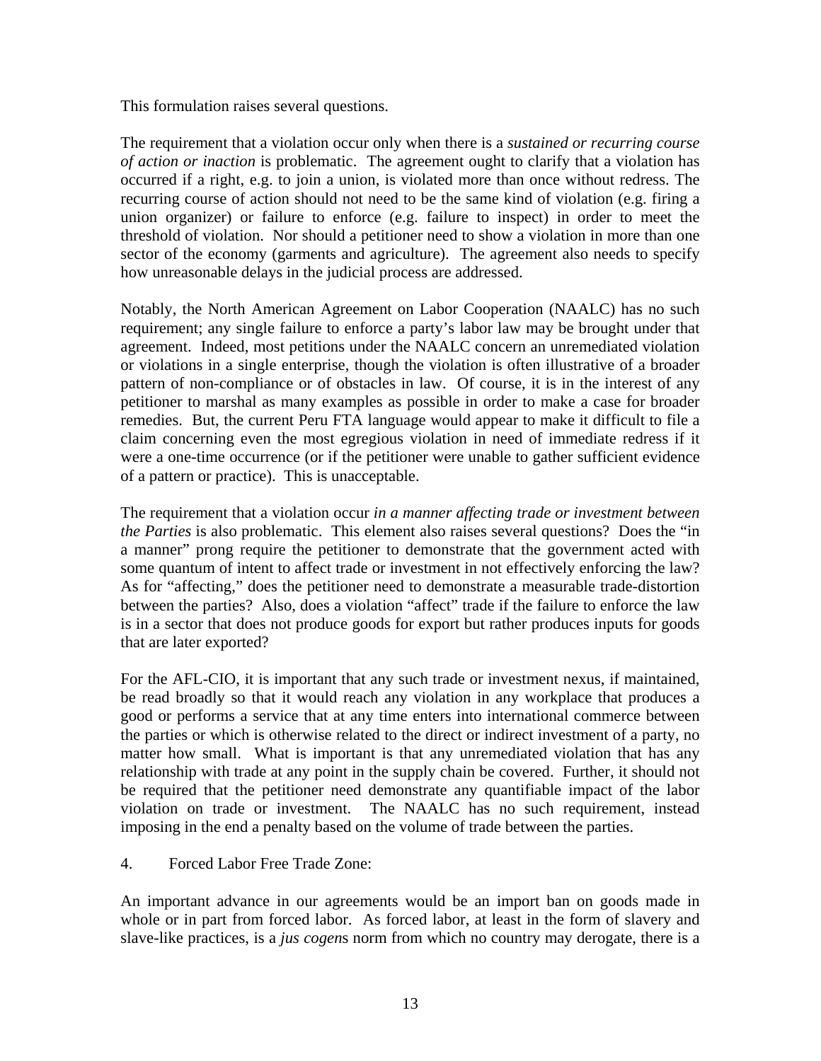This formulation raises several questions.

The requirement that a violation occur only when there is a *sustained or recurring course of action or inaction* is problematic. The agreement ought to clarify that a violation has occurred if a right, e.g. to join a union, is violated more than once without redress. The recurring course of action should not need to be the same kind of violation (e.g. firing a union organizer) or failure to enforce (e.g. failure to inspect) in order to meet the threshold of violation. Nor should a petitioner need to show a violation in more than one sector of the economy (garments and agriculture). The agreement also needs to specify how unreasonable delays in the judicial process are addressed.

Notably, the North American Agreement on Labor Cooperation (NAALC) has no such requirement; any single failure to enforce a party's labor law may be brought under that agreement. Indeed, most petitions under the NAALC concern an unremediated violation or violations in a single enterprise, though the violation is often illustrative of a broader pattern of non-compliance or of obstacles in law. Of course, it is in the interest of any petitioner to marshal as many examples as possible in order to make a case for broader remedies. But, the current Peru FTA language would appear to make it difficult to file a claim concerning even the most egregious violation in need of immediate redress if it were a one-time occurrence (or if the petitioner were unable to gather sufficient evidence of a pattern or practice). This is unacceptable.

The requirement that a violation occur *in a manner affecting trade or investment between the Parties* is also problematic. This element also raises several questions? Does the "in a manner" prong require the petitioner to demonstrate that the government acted with some quantum of intent to affect trade or investment in not effectively enforcing the law? As for "affecting," does the petitioner need to demonstrate a measurable trade-distortion between the parties? Also, does a violation "affect" trade if the failure to enforce the law is in a sector that does not produce goods for export but rather produces inputs for goods that are later exported?

For the AFL-CIO, it is important that any such trade or investment nexus, if maintained, be read broadly so that it would reach any violation in any workplace that produces a good or performs a service that at any time enters into international commerce between the parties or which is otherwise related to the direct or indirect investment of a party, no matter how small. What is important is that any unremediated violation that has any relationship with trade at any point in the supply chain be covered. Further, it should not be required that the petitioner need demonstrate any quantifiable impact of the labor violation on trade or investment. The NAALC has no such requirement, instead imposing in the end a penalty based on the volume of trade between the parties.

4. Forced Labor Free Trade Zone:

An important advance in our agreements would be an import ban on goods made in whole or in part from forced labor. As forced labor, at least in the form of slavery and slave-like practices, is a *jus cogen*s norm from which no country may derogate, there is a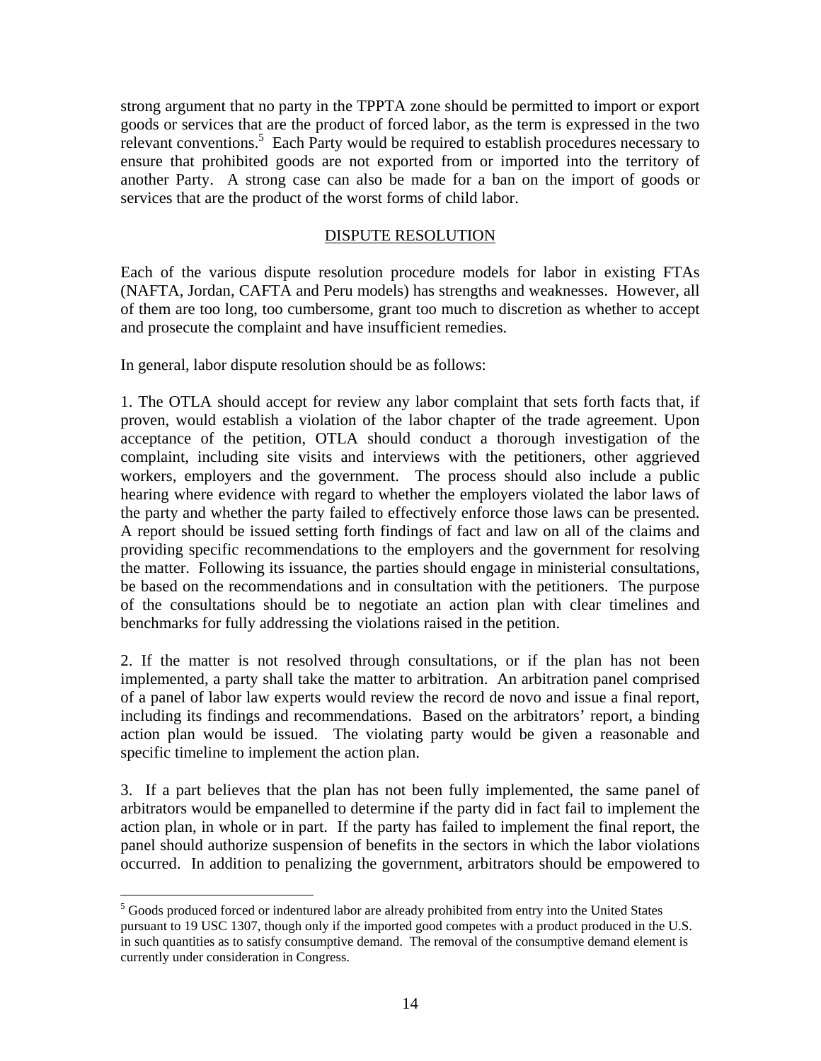strong argument that no party in the TPPTA zone should be permitted to import or export goods or services that are the product of forced labor, as the term is expressed in the two relevant conventions.<sup>5</sup> Each Party would be required to establish procedures necessary to ensure that prohibited goods are not exported from or imported into the territory of another Party. A strong case can also be made for a ban on the import of goods or services that are the product of the worst forms of child labor.

#### DISPUTE RESOLUTION

Each of the various dispute resolution procedure models for labor in existing FTAs (NAFTA, Jordan, CAFTA and Peru models) has strengths and weaknesses. However, all of them are too long, too cumbersome, grant too much to discretion as whether to accept and prosecute the complaint and have insufficient remedies.

In general, labor dispute resolution should be as follows:

 $\overline{a}$ 

1. The OTLA should accept for review any labor complaint that sets forth facts that, if proven, would establish a violation of the labor chapter of the trade agreement. Upon acceptance of the petition, OTLA should conduct a thorough investigation of the complaint, including site visits and interviews with the petitioners, other aggrieved workers, employers and the government. The process should also include a public hearing where evidence with regard to whether the employers violated the labor laws of the party and whether the party failed to effectively enforce those laws can be presented. A report should be issued setting forth findings of fact and law on all of the claims and providing specific recommendations to the employers and the government for resolving the matter. Following its issuance, the parties should engage in ministerial consultations, be based on the recommendations and in consultation with the petitioners. The purpose of the consultations should be to negotiate an action plan with clear timelines and benchmarks for fully addressing the violations raised in the petition.

2. If the matter is not resolved through consultations, or if the plan has not been implemented, a party shall take the matter to arbitration. An arbitration panel comprised of a panel of labor law experts would review the record de novo and issue a final report, including its findings and recommendations. Based on the arbitrators' report, a binding action plan would be issued. The violating party would be given a reasonable and specific timeline to implement the action plan.

3. If a part believes that the plan has not been fully implemented, the same panel of arbitrators would be empanelled to determine if the party did in fact fail to implement the action plan, in whole or in part. If the party has failed to implement the final report, the panel should authorize suspension of benefits in the sectors in which the labor violations occurred. In addition to penalizing the government, arbitrators should be empowered to

<sup>&</sup>lt;sup>5</sup> Goods produced forced or indentured labor are already prohibited from entry into the United States pursuant to 19 USC 1307, though only if the imported good competes with a product produced in the U.S. in such quantities as to satisfy consumptive demand. The removal of the consumptive demand element is currently under consideration in Congress.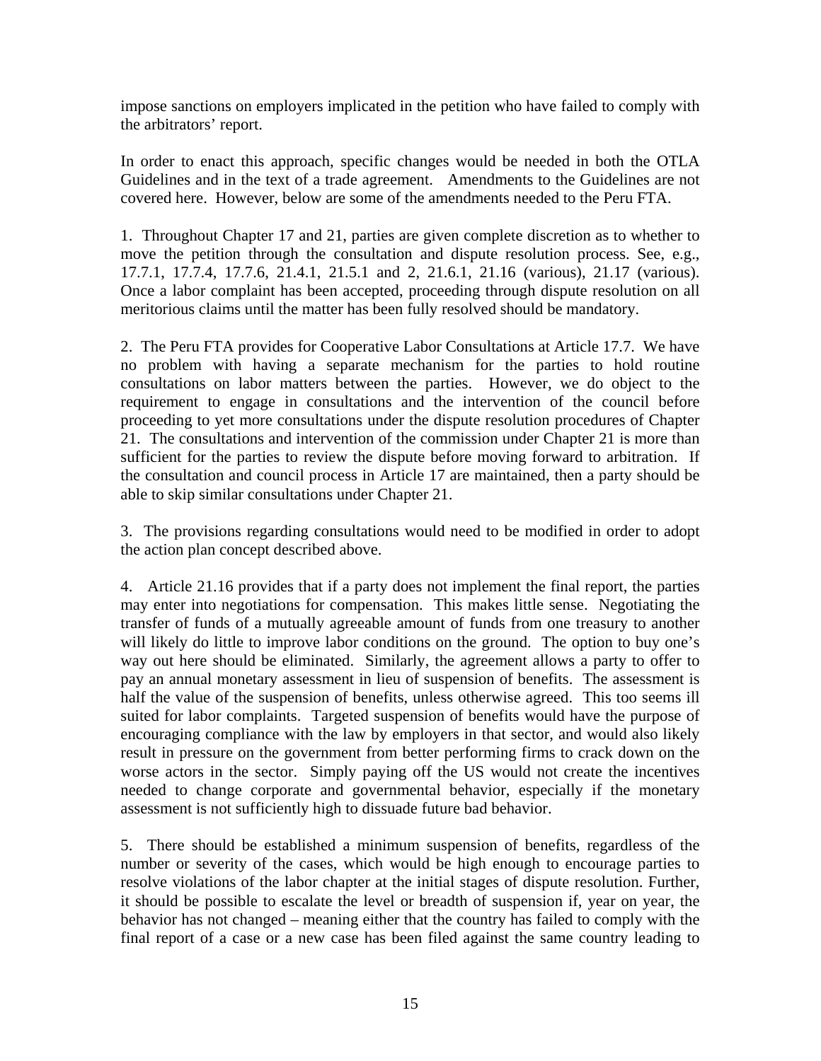impose sanctions on employers implicated in the petition who have failed to comply with the arbitrators' report.

In order to enact this approach, specific changes would be needed in both the OTLA Guidelines and in the text of a trade agreement. Amendments to the Guidelines are not covered here. However, below are some of the amendments needed to the Peru FTA.

1. Throughout Chapter 17 and 21, parties are given complete discretion as to whether to move the petition through the consultation and dispute resolution process. See, e.g., 17.7.1, 17.7.4, 17.7.6, 21.4.1, 21.5.1 and 2, 21.6.1, 21.16 (various), 21.17 (various). Once a labor complaint has been accepted, proceeding through dispute resolution on all meritorious claims until the matter has been fully resolved should be mandatory.

2. The Peru FTA provides for Cooperative Labor Consultations at Article 17.7. We have no problem with having a separate mechanism for the parties to hold routine consultations on labor matters between the parties. However, we do object to the requirement to engage in consultations and the intervention of the council before proceeding to yet more consultations under the dispute resolution procedures of Chapter 21. The consultations and intervention of the commission under Chapter 21 is more than sufficient for the parties to review the dispute before moving forward to arbitration. If the consultation and council process in Article 17 are maintained, then a party should be able to skip similar consultations under Chapter 21.

3. The provisions regarding consultations would need to be modified in order to adopt the action plan concept described above.

4. Article 21.16 provides that if a party does not implement the final report, the parties may enter into negotiations for compensation. This makes little sense. Negotiating the transfer of funds of a mutually agreeable amount of funds from one treasury to another will likely do little to improve labor conditions on the ground. The option to buy one's way out here should be eliminated. Similarly, the agreement allows a party to offer to pay an annual monetary assessment in lieu of suspension of benefits. The assessment is half the value of the suspension of benefits, unless otherwise agreed. This too seems ill suited for labor complaints. Targeted suspension of benefits would have the purpose of encouraging compliance with the law by employers in that sector, and would also likely result in pressure on the government from better performing firms to crack down on the worse actors in the sector. Simply paying off the US would not create the incentives needed to change corporate and governmental behavior, especially if the monetary assessment is not sufficiently high to dissuade future bad behavior.

5. There should be established a minimum suspension of benefits, regardless of the number or severity of the cases, which would be high enough to encourage parties to resolve violations of the labor chapter at the initial stages of dispute resolution. Further, it should be possible to escalate the level or breadth of suspension if, year on year, the behavior has not changed – meaning either that the country has failed to comply with the final report of a case or a new case has been filed against the same country leading to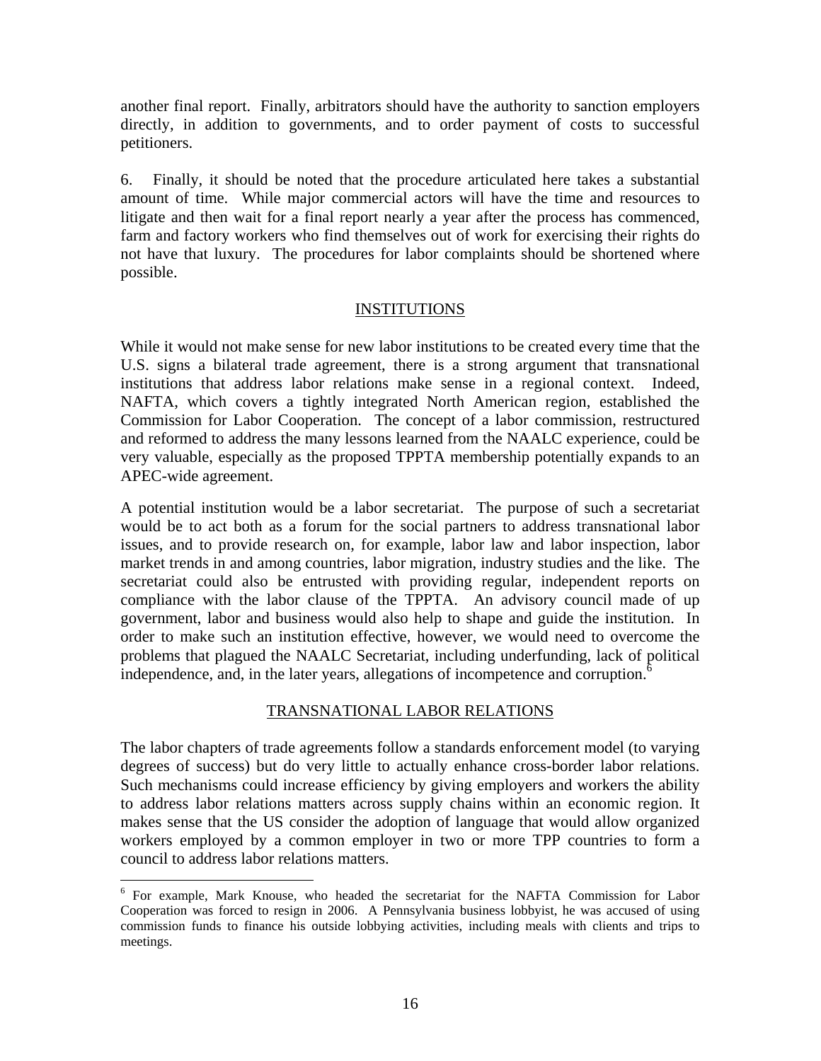another final report. Finally, arbitrators should have the authority to sanction employers directly, in addition to governments, and to order payment of costs to successful petitioners.

6. Finally, it should be noted that the procedure articulated here takes a substantial amount of time. While major commercial actors will have the time and resources to litigate and then wait for a final report nearly a year after the process has commenced, farm and factory workers who find themselves out of work for exercising their rights do not have that luxury. The procedures for labor complaints should be shortened where possible.

#### INSTITUTIONS

While it would not make sense for new labor institutions to be created every time that the U.S. signs a bilateral trade agreement, there is a strong argument that transnational institutions that address labor relations make sense in a regional context. Indeed, NAFTA, which covers a tightly integrated North American region, established the Commission for Labor Cooperation. The concept of a labor commission, restructured and reformed to address the many lessons learned from the NAALC experience, could be very valuable, especially as the proposed TPPTA membership potentially expands to an APEC-wide agreement.

A potential institution would be a labor secretariat. The purpose of such a secretariat would be to act both as a forum for the social partners to address transnational labor issues, and to provide research on, for example, labor law and labor inspection, labor market trends in and among countries, labor migration, industry studies and the like. The secretariat could also be entrusted with providing regular, independent reports on compliance with the labor clause of the TPPTA. An advisory council made of up government, labor and business would also help to shape and guide the institution. In order to make such an institution effective, however, we would need to overcome the problems that plagued the NAALC Secretariat, including underfunding, lack of political independence, and, in the later years, allegations of incompetence and corruption.<sup>6</sup>

### TRANSNATIONAL LABOR RELATIONS

The labor chapters of trade agreements follow a standards enforcement model (to varying degrees of success) but do very little to actually enhance cross-border labor relations. Such mechanisms could increase efficiency by giving employers and workers the ability to address labor relations matters across supply chains within an economic region. It makes sense that the US consider the adoption of language that would allow organized workers employed by a common employer in two or more TPP countries to form a council to address labor relations matters.

 $\overline{a}$ 

<sup>&</sup>lt;sup>6</sup> For example, Mark Knouse, who headed the secretariat for the NAFTA Commission for Labor Cooperation was forced to resign in 2006. A Pennsylvania business lobbyist, he was accused of using commission funds to finance his outside lobbying activities, including meals with clients and trips to meetings.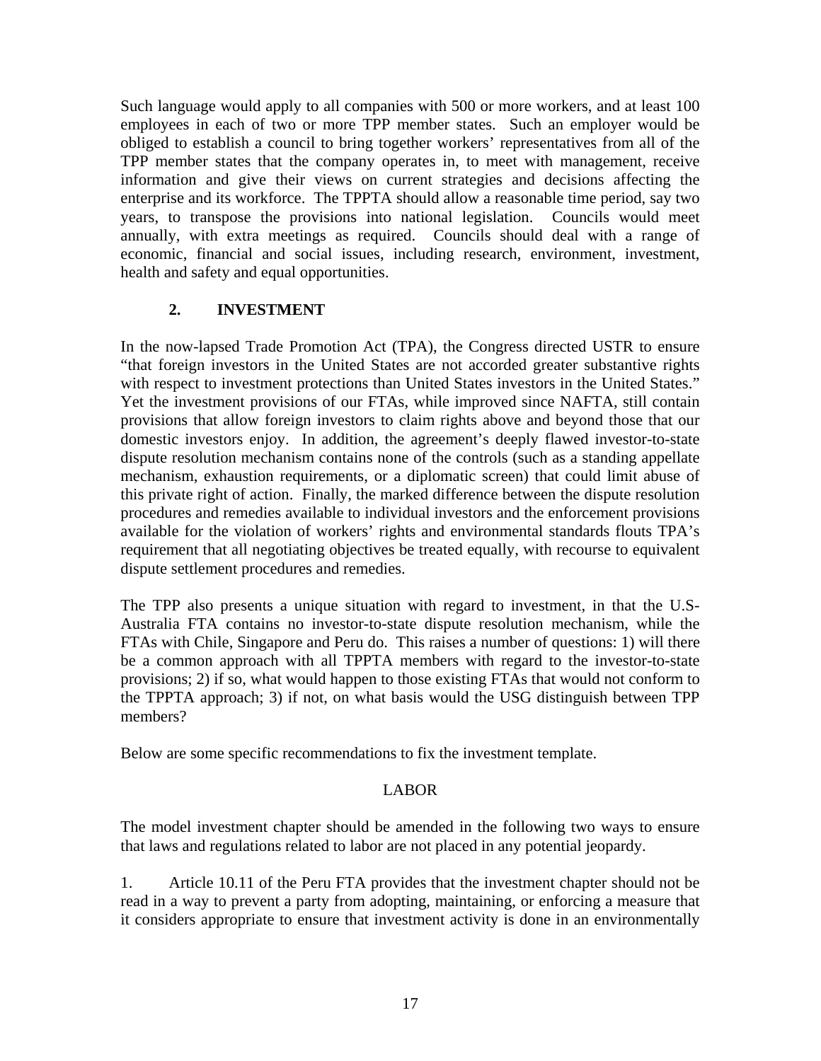Such language would apply to all companies with 500 or more workers, and at least 100 employees in each of two or more TPP member states. Such an employer would be obliged to establish a council to bring together workers' representatives from all of the TPP member states that the company operates in, to meet with management, receive information and give their views on current strategies and decisions affecting the enterprise and its workforce. The TPPTA should allow a reasonable time period, say two years, to transpose the provisions into national legislation. Councils would meet annually, with extra meetings as required. Councils should deal with a range of economic, financial and social issues, including research, environment, investment, health and safety and equal opportunities.

### **2. INVESTMENT**

In the now-lapsed Trade Promotion Act (TPA), the Congress directed USTR to ensure "that foreign investors in the United States are not accorded greater substantive rights with respect to investment protections than United States investors in the United States." Yet the investment provisions of our FTAs, while improved since NAFTA, still contain provisions that allow foreign investors to claim rights above and beyond those that our domestic investors enjoy. In addition, the agreement's deeply flawed investor-to-state dispute resolution mechanism contains none of the controls (such as a standing appellate mechanism, exhaustion requirements, or a diplomatic screen) that could limit abuse of this private right of action. Finally, the marked difference between the dispute resolution procedures and remedies available to individual investors and the enforcement provisions available for the violation of workers' rights and environmental standards flouts TPA's requirement that all negotiating objectives be treated equally, with recourse to equivalent dispute settlement procedures and remedies.

The TPP also presents a unique situation with regard to investment, in that the U.S-Australia FTA contains no investor-to-state dispute resolution mechanism, while the FTAs with Chile, Singapore and Peru do. This raises a number of questions: 1) will there be a common approach with all TPPTA members with regard to the investor-to-state provisions; 2) if so, what would happen to those existing FTAs that would not conform to the TPPTA approach; 3) if not, on what basis would the USG distinguish between TPP members?

Below are some specific recommendations to fix the investment template.

#### LABOR

The model investment chapter should be amended in the following two ways to ensure that laws and regulations related to labor are not placed in any potential jeopardy.

1. Article 10.11 of the Peru FTA provides that the investment chapter should not be read in a way to prevent a party from adopting, maintaining, or enforcing a measure that it considers appropriate to ensure that investment activity is done in an environmentally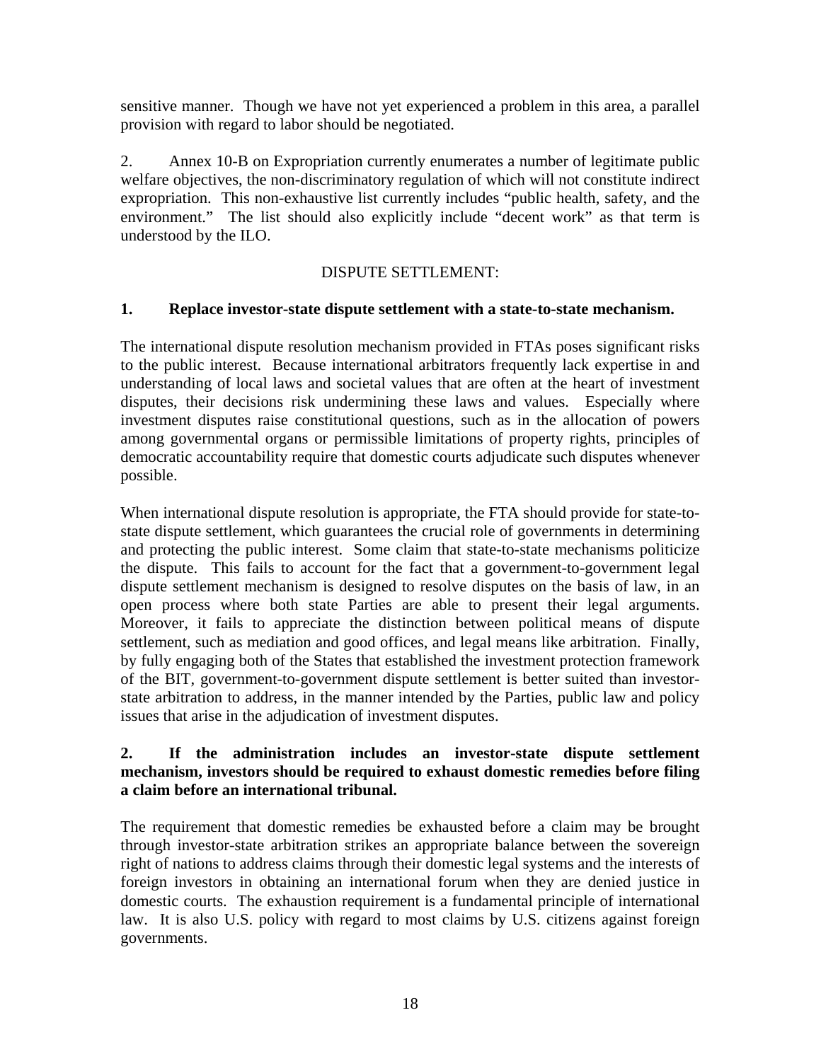sensitive manner. Though we have not yet experienced a problem in this area, a parallel provision with regard to labor should be negotiated.

2. Annex 10-B on Expropriation currently enumerates a number of legitimate public welfare objectives, the non-discriminatory regulation of which will not constitute indirect expropriation. This non-exhaustive list currently includes "public health, safety, and the environment." The list should also explicitly include "decent work" as that term is understood by the ILO.

### DISPUTE SETTLEMENT:

#### **1. Replace investor-state dispute settlement with a state-to-state mechanism.**

The international dispute resolution mechanism provided in FTAs poses significant risks to the public interest. Because international arbitrators frequently lack expertise in and understanding of local laws and societal values that are often at the heart of investment disputes, their decisions risk undermining these laws and values. Especially where investment disputes raise constitutional questions, such as in the allocation of powers among governmental organs or permissible limitations of property rights, principles of democratic accountability require that domestic courts adjudicate such disputes whenever possible.

When international dispute resolution is appropriate, the FTA should provide for state-tostate dispute settlement, which guarantees the crucial role of governments in determining and protecting the public interest. Some claim that state-to-state mechanisms politicize the dispute. This fails to account for the fact that a government-to-government legal dispute settlement mechanism is designed to resolve disputes on the basis of law, in an open process where both state Parties are able to present their legal arguments. Moreover, it fails to appreciate the distinction between political means of dispute settlement, such as mediation and good offices, and legal means like arbitration. Finally, by fully engaging both of the States that established the investment protection framework of the BIT, government-to-government dispute settlement is better suited than investorstate arbitration to address, in the manner intended by the Parties, public law and policy issues that arise in the adjudication of investment disputes.

#### **2. If the administration includes an investor-state dispute settlement mechanism, investors should be required to exhaust domestic remedies before filing a claim before an international tribunal.**

The requirement that domestic remedies be exhausted before a claim may be brought through investor-state arbitration strikes an appropriate balance between the sovereign right of nations to address claims through their domestic legal systems and the interests of foreign investors in obtaining an international forum when they are denied justice in domestic courts. The exhaustion requirement is a fundamental principle of international law. It is also U.S. policy with regard to most claims by U.S. citizens against foreign governments.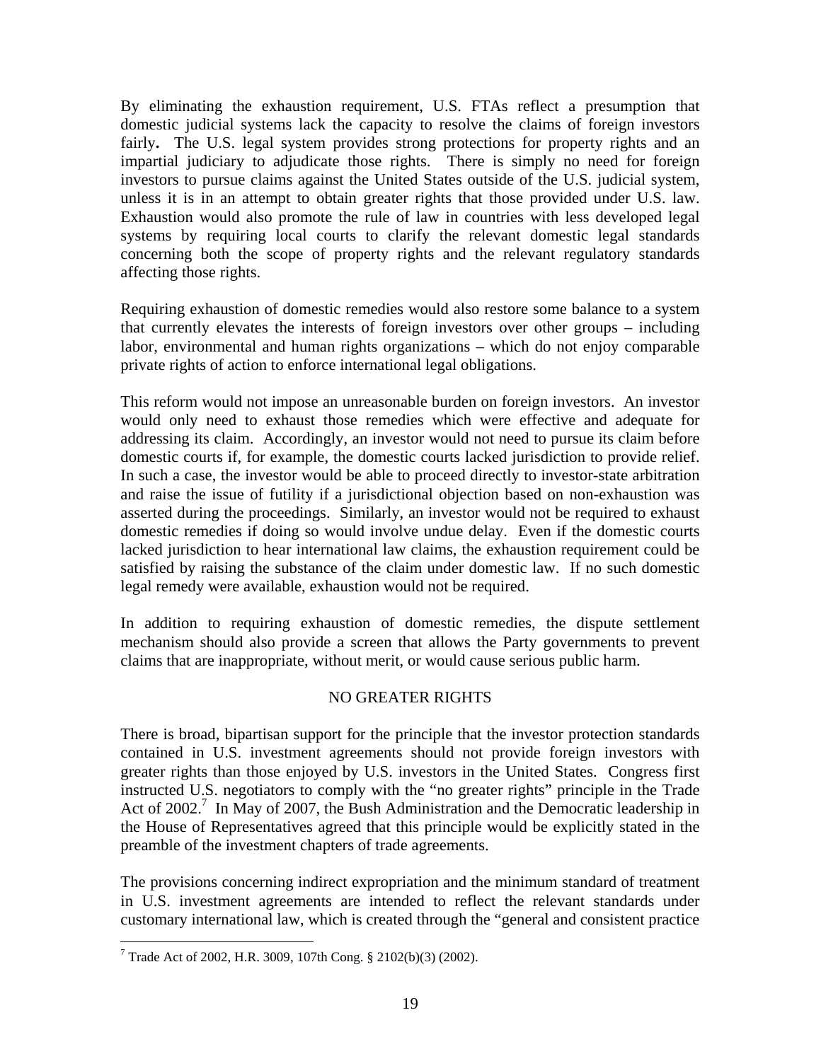By eliminating the exhaustion requirement, U.S. FTAs reflect a presumption that domestic judicial systems lack the capacity to resolve the claims of foreign investors fairly. The U.S. legal system provides strong protections for property rights and an impartial judiciary to adjudicate those rights. There is simply no need for foreign investors to pursue claims against the United States outside of the U.S. judicial system, unless it is in an attempt to obtain greater rights that those provided under U.S. law. Exhaustion would also promote the rule of law in countries with less developed legal systems by requiring local courts to clarify the relevant domestic legal standards concerning both the scope of property rights and the relevant regulatory standards affecting those rights.

Requiring exhaustion of domestic remedies would also restore some balance to a system that currently elevates the interests of foreign investors over other groups – including labor, environmental and human rights organizations – which do not enjoy comparable private rights of action to enforce international legal obligations.

This reform would not impose an unreasonable burden on foreign investors. An investor would only need to exhaust those remedies which were effective and adequate for addressing its claim. Accordingly, an investor would not need to pursue its claim before domestic courts if, for example, the domestic courts lacked jurisdiction to provide relief. In such a case, the investor would be able to proceed directly to investor-state arbitration and raise the issue of futility if a jurisdictional objection based on non-exhaustion was asserted during the proceedings. Similarly, an investor would not be required to exhaust domestic remedies if doing so would involve undue delay. Even if the domestic courts lacked jurisdiction to hear international law claims, the exhaustion requirement could be satisfied by raising the substance of the claim under domestic law. If no such domestic legal remedy were available, exhaustion would not be required.

In addition to requiring exhaustion of domestic remedies, the dispute settlement mechanism should also provide a screen that allows the Party governments to prevent claims that are inappropriate, without merit, or would cause serious public harm.

### NO GREATER RIGHTS

There is broad, bipartisan support for the principle that the investor protection standards contained in U.S. investment agreements should not provide foreign investors with greater rights than those enjoyed by U.S. investors in the United States. Congress first instructed U.S. negotiators to comply with the "no greater rights" principle in the Trade Act of 2002.<sup>7</sup> In May of 2007, the Bush Administration and the Democratic leadership in the House of Representatives agreed that this principle would be explicitly stated in the preamble of the investment chapters of trade agreements.

The provisions concerning indirect expropriation and the minimum standard of treatment in U.S. investment agreements are intended to reflect the relevant standards under customary international law, which is created through the "general and consistent practice

 $\overline{a}$ 

<sup>7</sup> Trade Act of 2002, H.R. 3009, 107th Cong. § 2102(b)(3) (2002).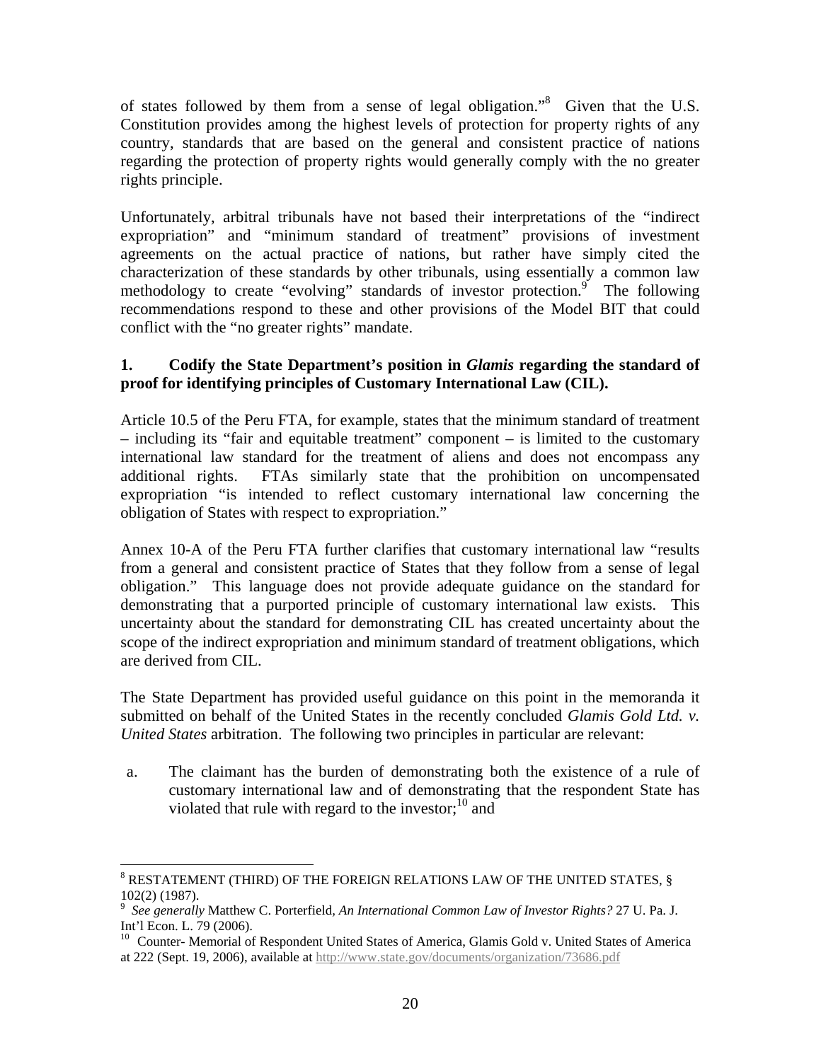of states followed by them from a sense of legal obligation."<sup>8</sup> Given that the U.S. Constitution provides among the highest levels of protection for property rights of any country, standards that are based on the general and consistent practice of nations regarding the protection of property rights would generally comply with the no greater rights principle.

Unfortunately, arbitral tribunals have not based their interpretations of the "indirect expropriation" and "minimum standard of treatment" provisions of investment agreements on the actual practice of nations, but rather have simply cited the characterization of these standards by other tribunals, using essentially a common law methodology to create "evolving" standards of investor protection.<sup>9</sup> The following recommendations respond to these and other provisions of the Model BIT that could conflict with the "no greater rights" mandate.

### **1. Codify the State Department's position in** *Glamis* **regarding the standard of proof for identifying principles of Customary International Law (CIL).**

Article 10.5 of the Peru FTA, for example, states that the minimum standard of treatment – including its "fair and equitable treatment" component – is limited to the customary international law standard for the treatment of aliens and does not encompass any additional rights. FTAs similarly state that the prohibition on uncompensated expropriation "is intended to reflect customary international law concerning the obligation of States with respect to expropriation."

Annex 10-A of the Peru FTA further clarifies that customary international law "results from a general and consistent practice of States that they follow from a sense of legal obligation." This language does not provide adequate guidance on the standard for demonstrating that a purported principle of customary international law exists. This uncertainty about the standard for demonstrating CIL has created uncertainty about the scope of the indirect expropriation and minimum standard of treatment obligations, which are derived from CIL.

The State Department has provided useful guidance on this point in the memoranda it submitted on behalf of the United States in the recently concluded *Glamis Gold Ltd. v. United States* arbitration. The following two principles in particular are relevant:

a. The claimant has the burden of demonstrating both the existence of a rule of customary international law and of demonstrating that the respondent State has violated that rule with regard to the investor; $^{10}$  and

 $\overline{a}$ 8 RESTATEMENT (THIRD) OF THE FOREIGN RELATIONS LAW OF THE UNITED STATES*,* § 102(2) (1987).

<sup>9</sup> *See generally* Matthew C. Porterfield*, An International Common Law of Investor Rights?* 27 U. Pa. J. Int'l Econ. L. 79 (2006).

<sup>&</sup>lt;sup>10</sup> Counter- Memorial of Respondent United States of America, Glamis Gold v. United States of America at 222 (Sept. 19, 2006), available at http://www.state.gov/documents/organization/73686.pdf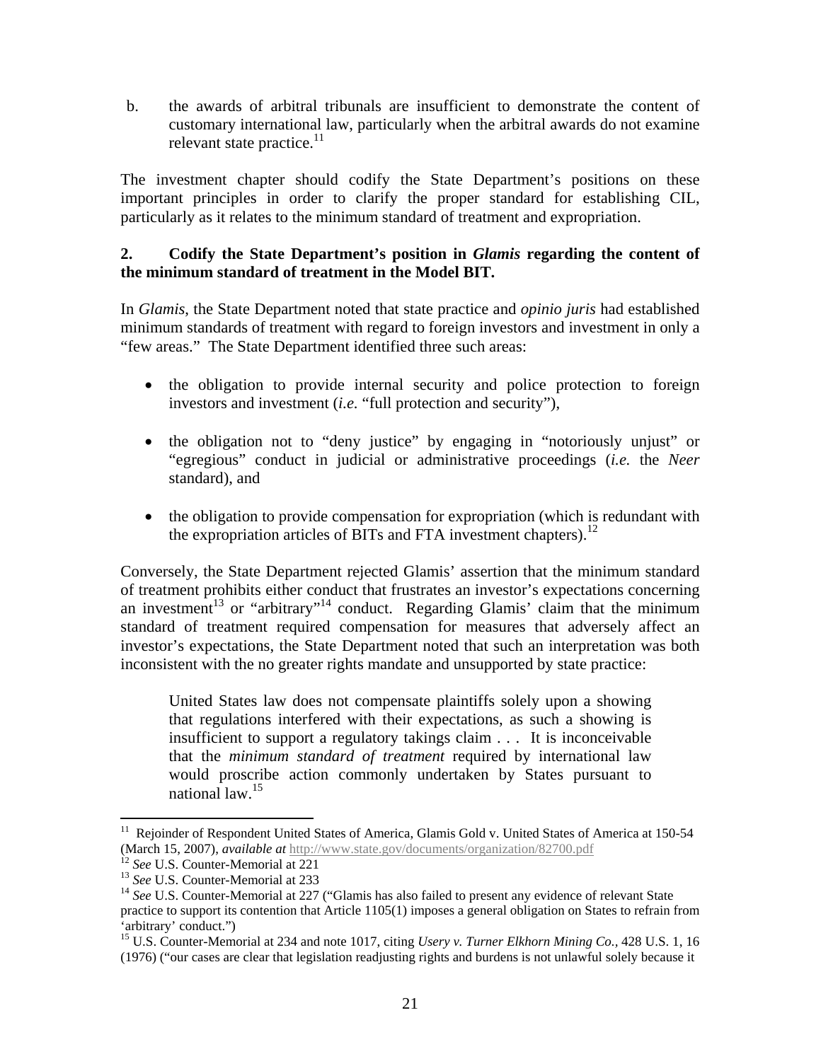b. the awards of arbitral tribunals are insufficient to demonstrate the content of customary international law, particularly when the arbitral awards do not examine relevant state practice.<sup>11</sup>

The investment chapter should codify the State Department's positions on these important principles in order to clarify the proper standard for establishing CIL, particularly as it relates to the minimum standard of treatment and expropriation.

#### **2. Codify the State Department's position in** *Glamis* **regarding the content of the minimum standard of treatment in the Model BIT.**

In *Glamis*, the State Department noted that state practice and *opinio juris* had established minimum standards of treatment with regard to foreign investors and investment in only a "few areas." The State Department identified three such areas:

- the obligation to provide internal security and police protection to foreign investors and investment (*i.e.* "full protection and security"),
- the obligation not to "deny justice" by engaging in "notoriously unjust" or "egregious" conduct in judicial or administrative proceedings (*i.e.* the *Neer* standard), and
- the obligation to provide compensation for expropriation (which is redundant with the expropriation articles of BITs and FTA investment chapters).<sup>12</sup>

Conversely, the State Department rejected Glamis' assertion that the minimum standard of treatment prohibits either conduct that frustrates an investor's expectations concerning an investment<sup>13</sup> or "arbitrary"<sup>14</sup> conduct. Regarding Glamis' claim that the minimum standard of treatment required compensation for measures that adversely affect an investor's expectations, the State Department noted that such an interpretation was both inconsistent with the no greater rights mandate and unsupported by state practice:

United States law does not compensate plaintiffs solely upon a showing that regulations interfered with their expectations, as such a showing is insufficient to support a regulatory takings claim . . . It is inconceivable that the *minimum standard of treatment* required by international law would proscribe action commonly undertaken by States pursuant to national law.<sup>15</sup>

 $\overline{a}$ 

<sup>&</sup>lt;sup>11</sup> Rejoinder of Respondent United States of America, Glamis Gold v. United States of America at 150-54 (March 15, 2007), *available at* http://www.state.gov/documents/organization/82700.pdf

<sup>&</sup>lt;sup>12</sup> See U.S. Counter-Memorial at 221<br><sup>13</sup> See U.S. Counter-Memorial at 233<br><sup>14</sup> See U.S. Counter-Memorial at 227 ("Glamis has also failed to present any evidence of relevant State practice to support its contention that Article 1105(1) imposes a general obligation on States to refrain from 'arbitrary' conduct.")

<sup>&</sup>lt;sup>15</sup> U.S. Counter-Memorial at 234 and note 1017, citing *Usery v. Turner Elkhorn Mining Co.*, 428 U.S. 1, 16 (1976) ("our cases are clear that legislation readjusting rights and burdens is not unlawful solely because it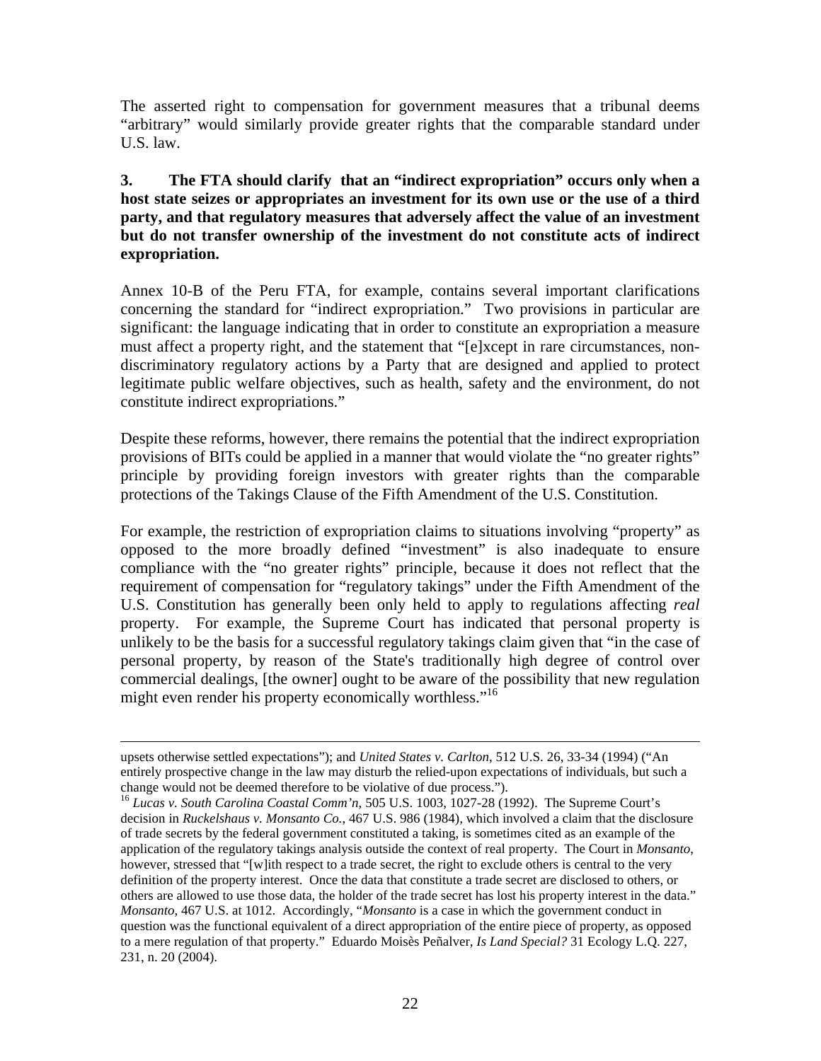The asserted right to compensation for government measures that a tribunal deems "arbitrary" would similarly provide greater rights that the comparable standard under U.S. law.

### **3. The FTA should clarify that an "indirect expropriation" occurs only when a host state seizes or appropriates an investment for its own use or the use of a third party, and that regulatory measures that adversely affect the value of an investment but do not transfer ownership of the investment do not constitute acts of indirect expropriation.**

Annex 10-B of the Peru FTA, for example, contains several important clarifications concerning the standard for "indirect expropriation." Two provisions in particular are significant: the language indicating that in order to constitute an expropriation a measure must affect a property right, and the statement that "[e]xcept in rare circumstances, nondiscriminatory regulatory actions by a Party that are designed and applied to protect legitimate public welfare objectives, such as health, safety and the environment, do not constitute indirect expropriations."

Despite these reforms, however, there remains the potential that the indirect expropriation provisions of BITs could be applied in a manner that would violate the "no greater rights" principle by providing foreign investors with greater rights than the comparable protections of the Takings Clause of the Fifth Amendment of the U.S. Constitution.

For example, the restriction of expropriation claims to situations involving "property" as opposed to the more broadly defined "investment" is also inadequate to ensure compliance with the "no greater rights" principle, because it does not reflect that the requirement of compensation for "regulatory takings" under the Fifth Amendment of the U.S. Constitution has generally been only held to apply to regulations affecting *real*  property. For example, the Supreme Court has indicated that personal property is unlikely to be the basis for a successful regulatory takings claim given that "in the case of personal property, by reason of the State's traditionally high degree of control over commercial dealings, [the owner] ought to be aware of the possibility that new regulation might even render his property economically worthless."<sup>16</sup>

upsets otherwise settled expectations"); and *United States v. Carlton*, 512 U.S. 26, 33-34 (1994) ("An entirely prospective change in the law may disturb the relied-upon expectations of individuals, but such a change would not be deemed therefore to be violative of due process.").

<sup>16</sup> *Lucas v. South Carolina Coastal Comm'n*, 505 U.S. 1003, 1027-28 (1992). The Supreme Court's decision in *Ruckelshaus v. Monsanto Co.*, 467 U.S. 986 (1984), which involved a claim that the disclosure of trade secrets by the federal government constituted a taking, is sometimes cited as an example of the application of the regulatory takings analysis outside the context of real property. The Court in *Monsanto*, however, stressed that "[w]ith respect to a trade secret, the right to exclude others is central to the very definition of the property interest. Once the data that constitute a trade secret are disclosed to others, or others are allowed to use those data, the holder of the trade secret has lost his property interest in the data." *Monsanto*, 467 U.S. at 1012. Accordingly, "*Monsanto* is a case in which the government conduct in question was the functional equivalent of a direct appropriation of the entire piece of property, as opposed to a mere regulation of that property." Eduardo Moisès Peñalver, *Is Land Special?* 31 Ecology L.Q. 227, 231, n. 20 (2004).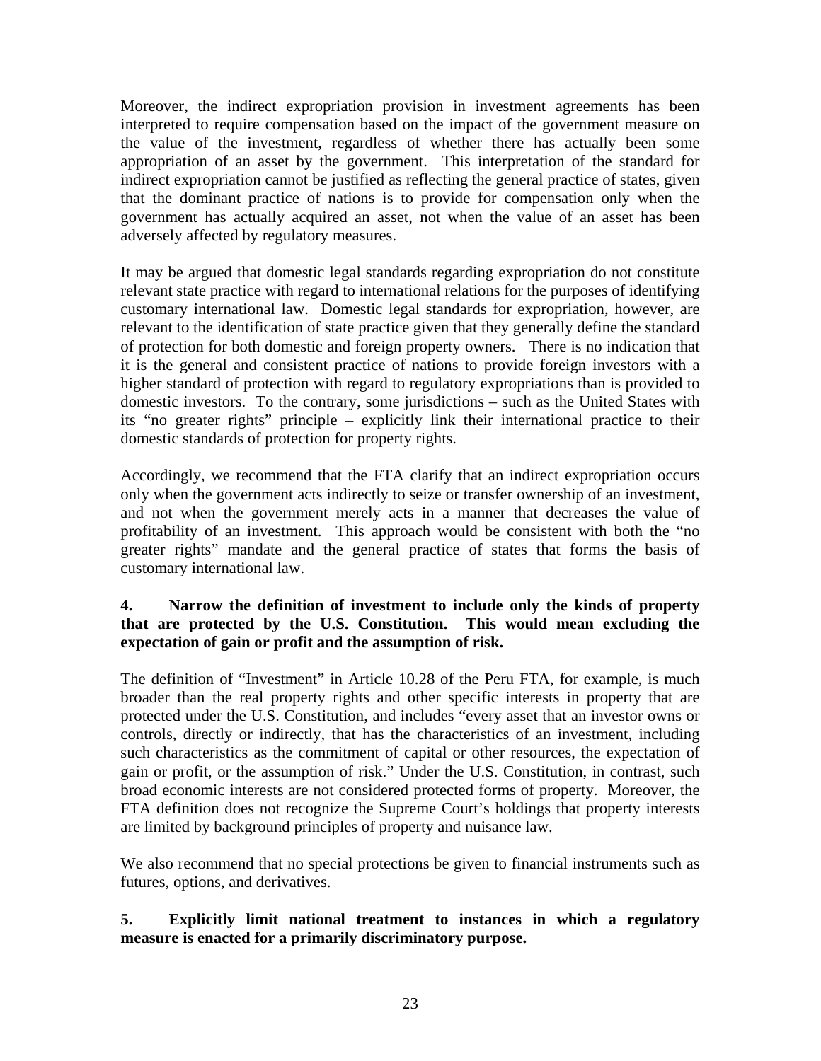Moreover, the indirect expropriation provision in investment agreements has been interpreted to require compensation based on the impact of the government measure on the value of the investment, regardless of whether there has actually been some appropriation of an asset by the government. This interpretation of the standard for indirect expropriation cannot be justified as reflecting the general practice of states, given that the dominant practice of nations is to provide for compensation only when the government has actually acquired an asset, not when the value of an asset has been adversely affected by regulatory measures.

It may be argued that domestic legal standards regarding expropriation do not constitute relevant state practice with regard to international relations for the purposes of identifying customary international law. Domestic legal standards for expropriation, however, are relevant to the identification of state practice given that they generally define the standard of protection for both domestic and foreign property owners. There is no indication that it is the general and consistent practice of nations to provide foreign investors with a higher standard of protection with regard to regulatory expropriations than is provided to domestic investors. To the contrary, some jurisdictions – such as the United States with its "no greater rights" principle – explicitly link their international practice to their domestic standards of protection for property rights.

Accordingly, we recommend that the FTA clarify that an indirect expropriation occurs only when the government acts indirectly to seize or transfer ownership of an investment, and not when the government merely acts in a manner that decreases the value of profitability of an investment. This approach would be consistent with both the "no greater rights" mandate and the general practice of states that forms the basis of customary international law.

### **4. Narrow the definition of investment to include only the kinds of property that are protected by the U.S. Constitution. This would mean excluding the expectation of gain or profit and the assumption of risk.**

The definition of "Investment" in Article 10.28 of the Peru FTA, for example, is much broader than the real property rights and other specific interests in property that are protected under the U.S. Constitution, and includes "every asset that an investor owns or controls, directly or indirectly, that has the characteristics of an investment, including such characteristics as the commitment of capital or other resources, the expectation of gain or profit, or the assumption of risk." Under the U.S. Constitution, in contrast, such broad economic interests are not considered protected forms of property. Moreover, the FTA definition does not recognize the Supreme Court's holdings that property interests are limited by background principles of property and nuisance law.

We also recommend that no special protections be given to financial instruments such as futures, options, and derivatives.

### **5. Explicitly limit national treatment to instances in which a regulatory measure is enacted for a primarily discriminatory purpose.**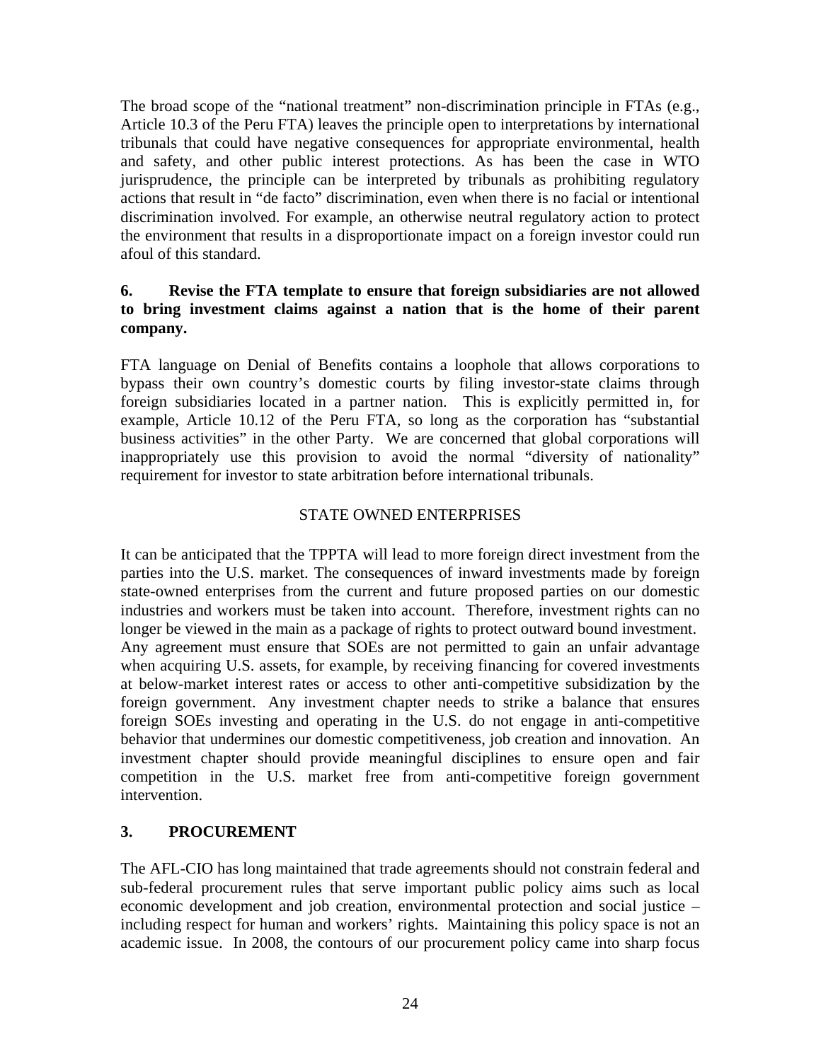The broad scope of the "national treatment" non-discrimination principle in FTAs (e.g., Article 10.3 of the Peru FTA) leaves the principle open to interpretations by international tribunals that could have negative consequences for appropriate environmental, health and safety, and other public interest protections. As has been the case in WTO jurisprudence, the principle can be interpreted by tribunals as prohibiting regulatory actions that result in "de facto" discrimination, even when there is no facial or intentional discrimination involved. For example, an otherwise neutral regulatory action to protect the environment that results in a disproportionate impact on a foreign investor could run afoul of this standard.

### **6. Revise the FTA template to ensure that foreign subsidiaries are not allowed to bring investment claims against a nation that is the home of their parent company.**

FTA language on Denial of Benefits contains a loophole that allows corporations to bypass their own country's domestic courts by filing investor-state claims through foreign subsidiaries located in a partner nation. This is explicitly permitted in, for example, Article 10.12 of the Peru FTA, so long as the corporation has "substantial business activities" in the other Party. We are concerned that global corporations will inappropriately use this provision to avoid the normal "diversity of nationality" requirement for investor to state arbitration before international tribunals.

### STATE OWNED ENTERPRISES

It can be anticipated that the TPPTA will lead to more foreign direct investment from the parties into the U.S. market. The consequences of inward investments made by foreign state-owned enterprises from the current and future proposed parties on our domestic industries and workers must be taken into account. Therefore, investment rights can no longer be viewed in the main as a package of rights to protect outward bound investment. Any agreement must ensure that SOEs are not permitted to gain an unfair advantage when acquiring U.S. assets, for example, by receiving financing for covered investments at below-market interest rates or access to other anti-competitive subsidization by the foreign government. Any investment chapter needs to strike a balance that ensures foreign SOEs investing and operating in the U.S. do not engage in anti-competitive behavior that undermines our domestic competitiveness, job creation and innovation. An investment chapter should provide meaningful disciplines to ensure open and fair competition in the U.S. market free from anti-competitive foreign government intervention.

## **3. PROCUREMENT**

The AFL-CIO has long maintained that trade agreements should not constrain federal and sub-federal procurement rules that serve important public policy aims such as local economic development and job creation, environmental protection and social justice – including respect for human and workers' rights. Maintaining this policy space is not an academic issue. In 2008, the contours of our procurement policy came into sharp focus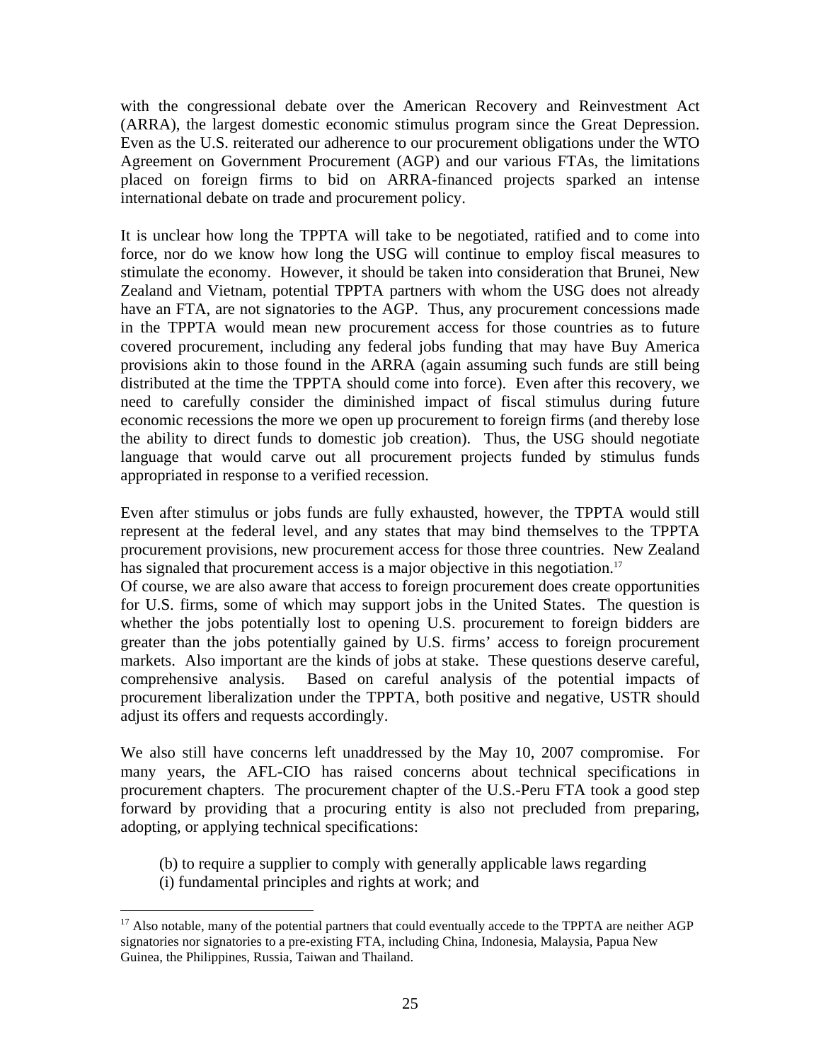with the congressional debate over the American Recovery and Reinvestment Act (ARRA), the largest domestic economic stimulus program since the Great Depression. Even as the U.S. reiterated our adherence to our procurement obligations under the WTO Agreement on Government Procurement (AGP) and our various FTAs, the limitations placed on foreign firms to bid on ARRA-financed projects sparked an intense international debate on trade and procurement policy.

It is unclear how long the TPPTA will take to be negotiated, ratified and to come into force, nor do we know how long the USG will continue to employ fiscal measures to stimulate the economy. However, it should be taken into consideration that Brunei, New Zealand and Vietnam, potential TPPTA partners with whom the USG does not already have an FTA, are not signatories to the AGP. Thus, any procurement concessions made in the TPPTA would mean new procurement access for those countries as to future covered procurement, including any federal jobs funding that may have Buy America provisions akin to those found in the ARRA (again assuming such funds are still being distributed at the time the TPPTA should come into force). Even after this recovery, we need to carefully consider the diminished impact of fiscal stimulus during future economic recessions the more we open up procurement to foreign firms (and thereby lose the ability to direct funds to domestic job creation). Thus, the USG should negotiate language that would carve out all procurement projects funded by stimulus funds appropriated in response to a verified recession.

Even after stimulus or jobs funds are fully exhausted, however, the TPPTA would still represent at the federal level, and any states that may bind themselves to the TPPTA procurement provisions, new procurement access for those three countries. New Zealand has signaled that procurement access is a major objective in this negotiation.<sup>17</sup>

Of course, we are also aware that access to foreign procurement does create opportunities for U.S. firms, some of which may support jobs in the United States. The question is whether the jobs potentially lost to opening U.S. procurement to foreign bidders are greater than the jobs potentially gained by U.S. firms' access to foreign procurement markets. Also important are the kinds of jobs at stake. These questions deserve careful, comprehensive analysis. Based on careful analysis of the potential impacts of procurement liberalization under the TPPTA, both positive and negative, USTR should adjust its offers and requests accordingly.

We also still have concerns left unaddressed by the May 10, 2007 compromise. For many years, the AFL-CIO has raised concerns about technical specifications in procurement chapters. The procurement chapter of the U.S.-Peru FTA took a good step forward by providing that a procuring entity is also not precluded from preparing, adopting, or applying technical specifications:

- (b) to require a supplier to comply with generally applicable laws regarding
- (i) fundamental principles and rights at work; and

 $\overline{a}$ <sup>17</sup> Also notable, many of the potential partners that could eventually accede to the TPPTA are neither AGP signatories nor signatories to a pre-existing FTA, including China, Indonesia, Malaysia, Papua New Guinea, the Philippines, Russia, Taiwan and Thailand.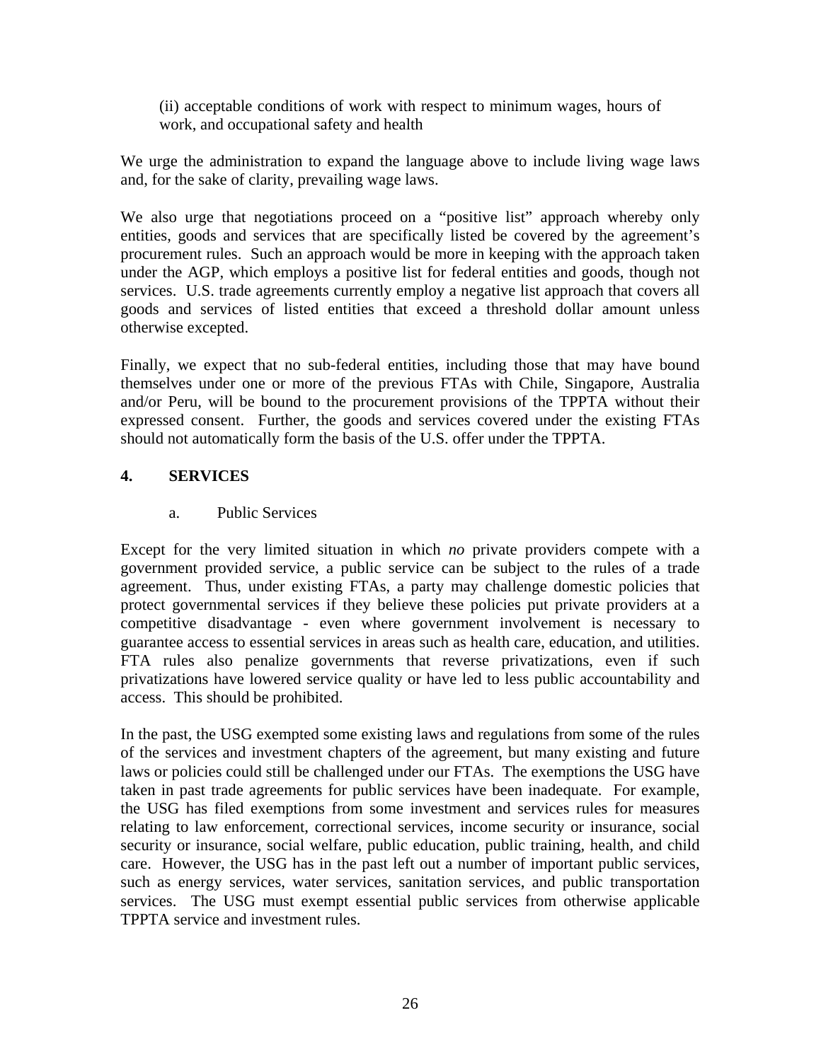(ii) acceptable conditions of work with respect to minimum wages, hours of work, and occupational safety and health

We urge the administration to expand the language above to include living wage laws and, for the sake of clarity, prevailing wage laws.

We also urge that negotiations proceed on a "positive list" approach whereby only entities, goods and services that are specifically listed be covered by the agreement's procurement rules. Such an approach would be more in keeping with the approach taken under the AGP, which employs a positive list for federal entities and goods, though not services. U.S. trade agreements currently employ a negative list approach that covers all goods and services of listed entities that exceed a threshold dollar amount unless otherwise excepted.

Finally, we expect that no sub-federal entities, including those that may have bound themselves under one or more of the previous FTAs with Chile, Singapore, Australia and/or Peru, will be bound to the procurement provisions of the TPPTA without their expressed consent. Further, the goods and services covered under the existing FTAs should not automatically form the basis of the U.S. offer under the TPPTA.

### **4. SERVICES**

#### a. Public Services

Except for the very limited situation in which *no* private providers compete with a government provided service, a public service can be subject to the rules of a trade agreement. Thus, under existing FTAs, a party may challenge domestic policies that protect governmental services if they believe these policies put private providers at a competitive disadvantage - even where government involvement is necessary to guarantee access to essential services in areas such as health care, education, and utilities. FTA rules also penalize governments that reverse privatizations, even if such privatizations have lowered service quality or have led to less public accountability and access. This should be prohibited.

In the past, the USG exempted some existing laws and regulations from some of the rules of the services and investment chapters of the agreement, but many existing and future laws or policies could still be challenged under our FTAs. The exemptions the USG have taken in past trade agreements for public services have been inadequate. For example, the USG has filed exemptions from some investment and services rules for measures relating to law enforcement, correctional services, income security or insurance, social security or insurance, social welfare, public education, public training, health, and child care. However, the USG has in the past left out a number of important public services, such as energy services, water services, sanitation services, and public transportation services. The USG must exempt essential public services from otherwise applicable TPPTA service and investment rules.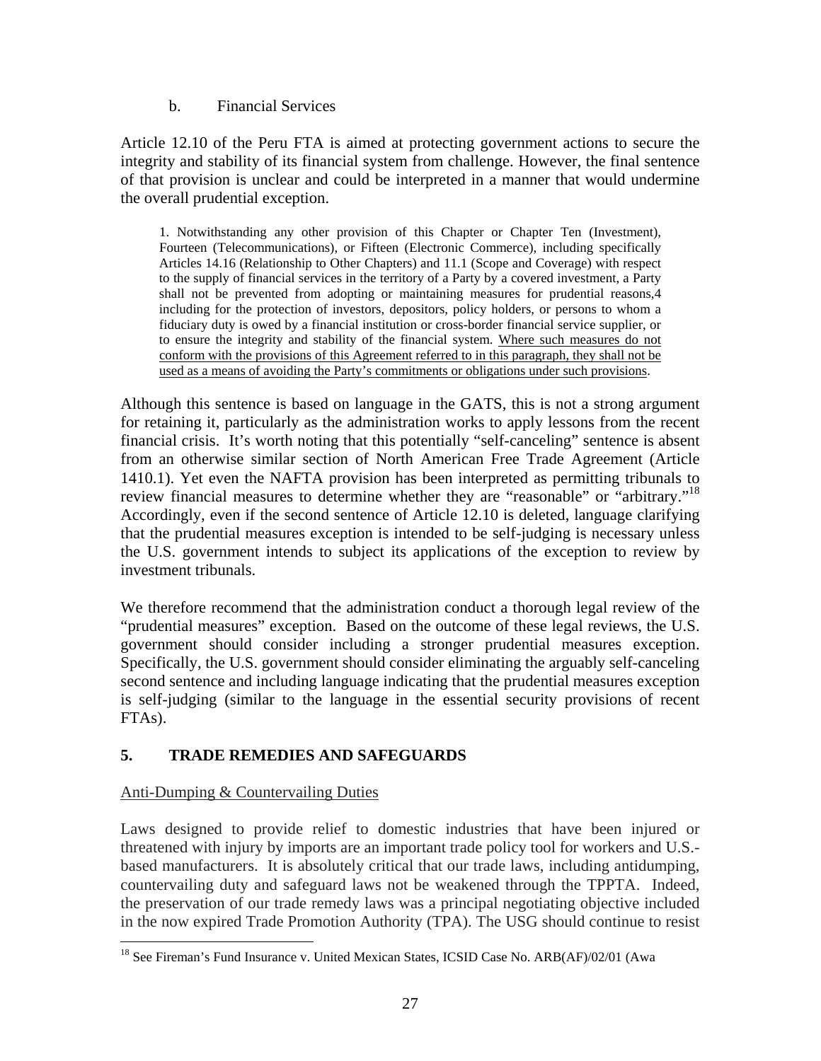b. Financial Services

Article 12.10 of the Peru FTA is aimed at protecting government actions to secure the integrity and stability of its financial system from challenge. However, the final sentence of that provision is unclear and could be interpreted in a manner that would undermine the overall prudential exception.

1. Notwithstanding any other provision of this Chapter or Chapter Ten (Investment), Fourteen (Telecommunications), or Fifteen (Electronic Commerce), including specifically Articles 14.16 (Relationship to Other Chapters) and 11.1 (Scope and Coverage) with respect to the supply of financial services in the territory of a Party by a covered investment, a Party shall not be prevented from adopting or maintaining measures for prudential reasons,4 including for the protection of investors, depositors, policy holders, or persons to whom a fiduciary duty is owed by a financial institution or cross-border financial service supplier, or to ensure the integrity and stability of the financial system. Where such measures do not conform with the provisions of this Agreement referred to in this paragraph, they shall not be used as a means of avoiding the Party's commitments or obligations under such provisions.

Although this sentence is based on language in the GATS, this is not a strong argument for retaining it, particularly as the administration works to apply lessons from the recent financial crisis. It's worth noting that this potentially "self-canceling" sentence is absent from an otherwise similar section of North American Free Trade Agreement (Article 1410.1). Yet even the NAFTA provision has been interpreted as permitting tribunals to review financial measures to determine whether they are "reasonable" or "arbitrary."18 Accordingly, even if the second sentence of Article 12.10 is deleted, language clarifying that the prudential measures exception is intended to be self-judging is necessary unless the U.S. government intends to subject its applications of the exception to review by investment tribunals.

We therefore recommend that the administration conduct a thorough legal review of the "prudential measures" exception. Based on the outcome of these legal reviews, the U.S. government should consider including a stronger prudential measures exception. Specifically, the U.S. government should consider eliminating the arguably self-canceling second sentence and including language indicating that the prudential measures exception is self-judging (similar to the language in the essential security provisions of recent FTAs).

## **5. TRADE REMEDIES AND SAFEGUARDS**

### Anti-Dumping & Countervailing Duties

<u>.</u>

Laws designed to provide relief to domestic industries that have been injured or threatened with injury by imports are an important trade policy tool for workers and U.S. based manufacturers. It is absolutely critical that our trade laws, including antidumping, countervailing duty and safeguard laws not be weakened through the TPPTA. Indeed, the preservation of our trade remedy laws was a principal negotiating objective included in the now expired Trade Promotion Authority (TPA). The USG should continue to resist

<sup>&</sup>lt;sup>18</sup> See Fireman's Fund Insurance v. United Mexican States, ICSID Case No. ARB(AF)/02/01 (Awa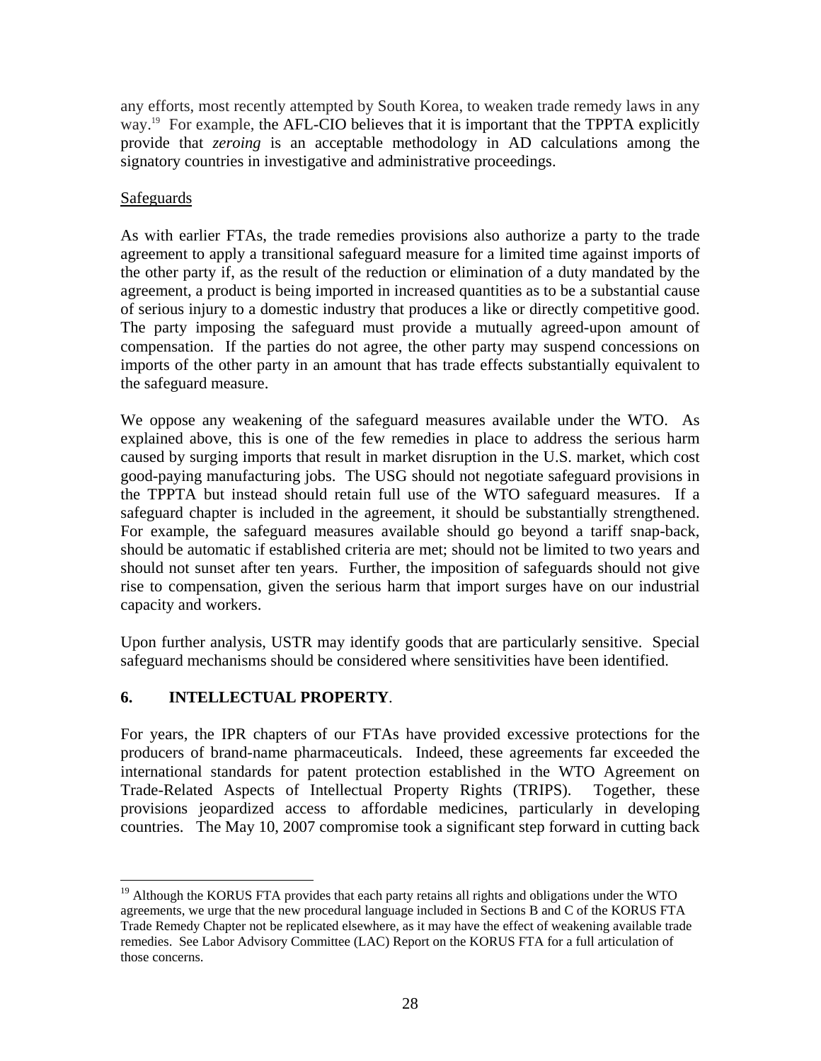any efforts, most recently attempted by South Korea, to weaken trade remedy laws in any way.<sup>19</sup> For example, the AFL-CIO believes that it is important that the TPPTA explicitly provide that *zeroing* is an acceptable methodology in AD calculations among the signatory countries in investigative and administrative proceedings.

### **Safeguards**

As with earlier FTAs, the trade remedies provisions also authorize a party to the trade agreement to apply a transitional safeguard measure for a limited time against imports of the other party if, as the result of the reduction or elimination of a duty mandated by the agreement, a product is being imported in increased quantities as to be a substantial cause of serious injury to a domestic industry that produces a like or directly competitive good. The party imposing the safeguard must provide a mutually agreed-upon amount of compensation. If the parties do not agree, the other party may suspend concessions on imports of the other party in an amount that has trade effects substantially equivalent to the safeguard measure.

We oppose any weakening of the safeguard measures available under the WTO. As explained above, this is one of the few remedies in place to address the serious harm caused by surging imports that result in market disruption in the U.S. market, which cost good-paying manufacturing jobs. The USG should not negotiate safeguard provisions in the TPPTA but instead should retain full use of the WTO safeguard measures. If a safeguard chapter is included in the agreement, it should be substantially strengthened. For example, the safeguard measures available should go beyond a tariff snap-back, should be automatic if established criteria are met; should not be limited to two years and should not sunset after ten years. Further, the imposition of safeguards should not give rise to compensation, given the serious harm that import surges have on our industrial capacity and workers.

Upon further analysis, USTR may identify goods that are particularly sensitive. Special safeguard mechanisms should be considered where sensitivities have been identified.

## **6. INTELLECTUAL PROPERTY**.

For years, the IPR chapters of our FTAs have provided excessive protections for the producers of brand-name pharmaceuticals. Indeed, these agreements far exceeded the international standards for patent protection established in the WTO Agreement on Trade-Related Aspects of Intellectual Property Rights (TRIPS). Together, these provisions jeopardized access to affordable medicines, particularly in developing countries. The May 10, 2007 compromise took a significant step forward in cutting back

 $\overline{a}$  $19$  Although the KORUS FTA provides that each party retains all rights and obligations under the WTO agreements, we urge that the new procedural language included in Sections B and C of the KORUS FTA Trade Remedy Chapter not be replicated elsewhere, as it may have the effect of weakening available trade remedies. See Labor Advisory Committee (LAC) Report on the KORUS FTA for a full articulation of those concerns.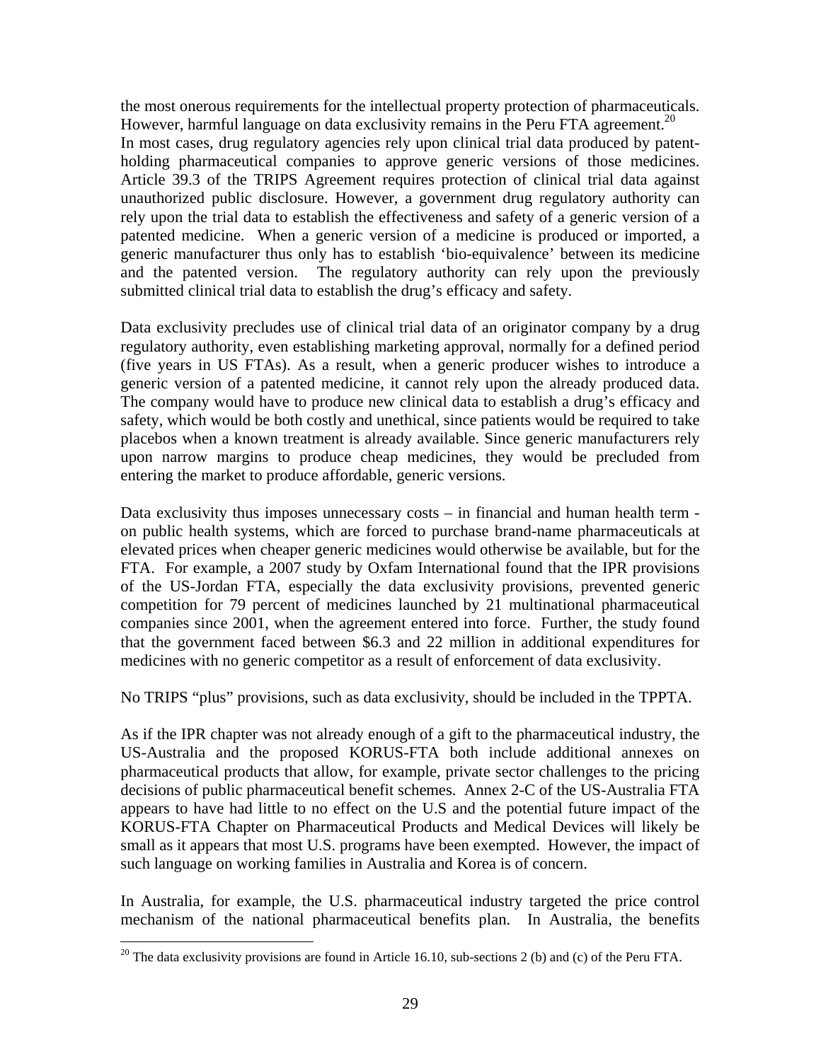the most onerous requirements for the intellectual property protection of pharmaceuticals. However, harmful language on data exclusivity remains in the Peru FTA agreement.<sup>20</sup> In most cases, drug regulatory agencies rely upon clinical trial data produced by patentholding pharmaceutical companies to approve generic versions of those medicines. Article 39.3 of the TRIPS Agreement requires protection of clinical trial data against unauthorized public disclosure. However, a government drug regulatory authority can rely upon the trial data to establish the effectiveness and safety of a generic version of a patented medicine. When a generic version of a medicine is produced or imported, a generic manufacturer thus only has to establish 'bio-equivalence' between its medicine and the patented version. The regulatory authority can rely upon the previously submitted clinical trial data to establish the drug's efficacy and safety.

Data exclusivity precludes use of clinical trial data of an originator company by a drug regulatory authority, even establishing marketing approval, normally for a defined period (five years in US FTAs). As a result, when a generic producer wishes to introduce a generic version of a patented medicine, it cannot rely upon the already produced data. The company would have to produce new clinical data to establish a drug's efficacy and safety, which would be both costly and unethical, since patients would be required to take placebos when a known treatment is already available. Since generic manufacturers rely upon narrow margins to produce cheap medicines, they would be precluded from entering the market to produce affordable, generic versions.

Data exclusivity thus imposes unnecessary costs – in financial and human health term on public health systems, which are forced to purchase brand-name pharmaceuticals at elevated prices when cheaper generic medicines would otherwise be available, but for the FTA. For example, a 2007 study by Oxfam International found that the IPR provisions of the US-Jordan FTA, especially the data exclusivity provisions, prevented generic competition for 79 percent of medicines launched by 21 multinational pharmaceutical companies since 2001, when the agreement entered into force. Further, the study found that the government faced between \$6.3 and 22 million in additional expenditures for medicines with no generic competitor as a result of enforcement of data exclusivity.

No TRIPS "plus" provisions, such as data exclusivity, should be included in the TPPTA.

As if the IPR chapter was not already enough of a gift to the pharmaceutical industry, the US-Australia and the proposed KORUS-FTA both include additional annexes on pharmaceutical products that allow, for example, private sector challenges to the pricing decisions of public pharmaceutical benefit schemes. Annex 2-C of the US-Australia FTA appears to have had little to no effect on the U.S and the potential future impact of the KORUS-FTA Chapter on Pharmaceutical Products and Medical Devices will likely be small as it appears that most U.S. programs have been exempted. However, the impact of such language on working families in Australia and Korea is of concern.

In Australia, for example, the U.S. pharmaceutical industry targeted the price control mechanism of the national pharmaceutical benefits plan. In Australia, the benefits

<u>.</u>

<sup>&</sup>lt;sup>20</sup> The data exclusivity provisions are found in Article 16.10, sub-sections 2 (b) and (c) of the Peru FTA.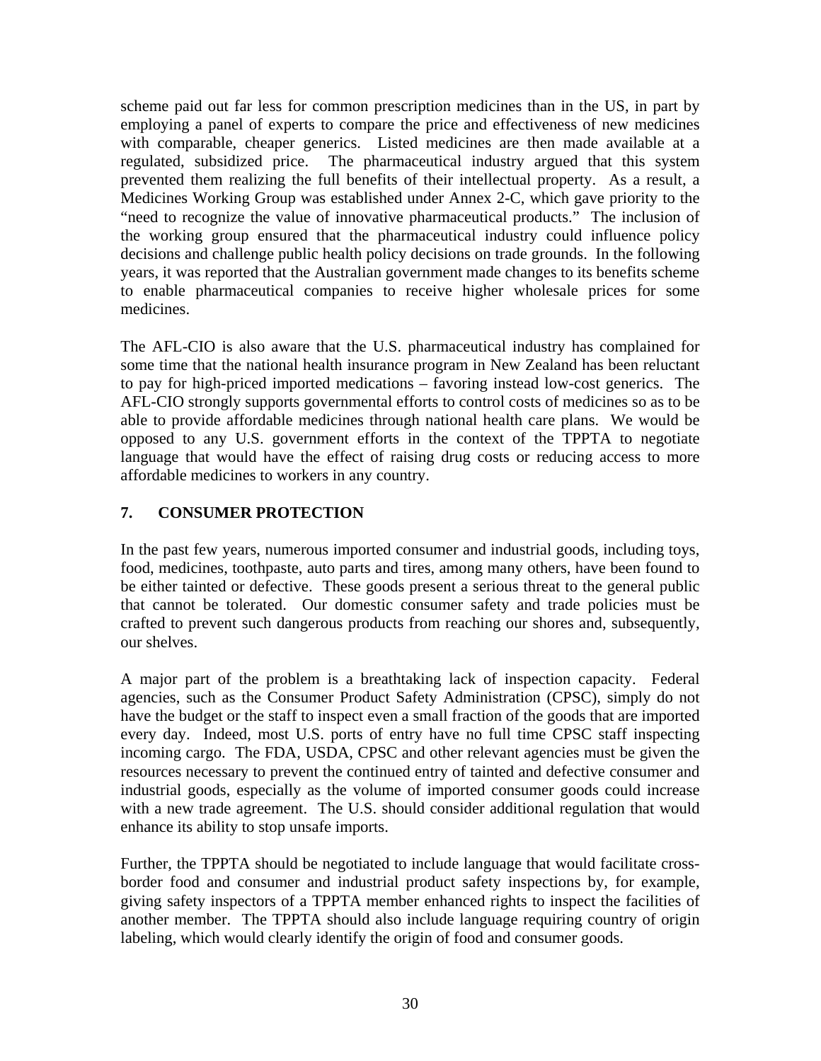scheme paid out far less for common prescription medicines than in the US, in part by employing a panel of experts to compare the price and effectiveness of new medicines with comparable, cheaper generics. Listed medicines are then made available at a regulated, subsidized price. The pharmaceutical industry argued that this system prevented them realizing the full benefits of their intellectual property. As a result, a Medicines Working Group was established under Annex 2-C, which gave priority to the "need to recognize the value of innovative pharmaceutical products." The inclusion of the working group ensured that the pharmaceutical industry could influence policy decisions and challenge public health policy decisions on trade grounds. In the following years, it was reported that the Australian government made changes to its benefits scheme to enable pharmaceutical companies to receive higher wholesale prices for some medicines.

The AFL-CIO is also aware that the U.S. pharmaceutical industry has complained for some time that the national health insurance program in New Zealand has been reluctant to pay for high-priced imported medications – favoring instead low-cost generics. The AFL-CIO strongly supports governmental efforts to control costs of medicines so as to be able to provide affordable medicines through national health care plans. We would be opposed to any U.S. government efforts in the context of the TPPTA to negotiate language that would have the effect of raising drug costs or reducing access to more affordable medicines to workers in any country.

### **7. CONSUMER PROTECTION**

In the past few years, numerous imported consumer and industrial goods, including toys, food, medicines, toothpaste, auto parts and tires, among many others, have been found to be either tainted or defective. These goods present a serious threat to the general public that cannot be tolerated. Our domestic consumer safety and trade policies must be crafted to prevent such dangerous products from reaching our shores and, subsequently, our shelves.

A major part of the problem is a breathtaking lack of inspection capacity. Federal agencies, such as the Consumer Product Safety Administration (CPSC), simply do not have the budget or the staff to inspect even a small fraction of the goods that are imported every day. Indeed, most U.S. ports of entry have no full time CPSC staff inspecting incoming cargo. The FDA, USDA, CPSC and other relevant agencies must be given the resources necessary to prevent the continued entry of tainted and defective consumer and industrial goods, especially as the volume of imported consumer goods could increase with a new trade agreement. The U.S. should consider additional regulation that would enhance its ability to stop unsafe imports.

Further, the TPPTA should be negotiated to include language that would facilitate crossborder food and consumer and industrial product safety inspections by, for example, giving safety inspectors of a TPPTA member enhanced rights to inspect the facilities of another member. The TPPTA should also include language requiring country of origin labeling, which would clearly identify the origin of food and consumer goods.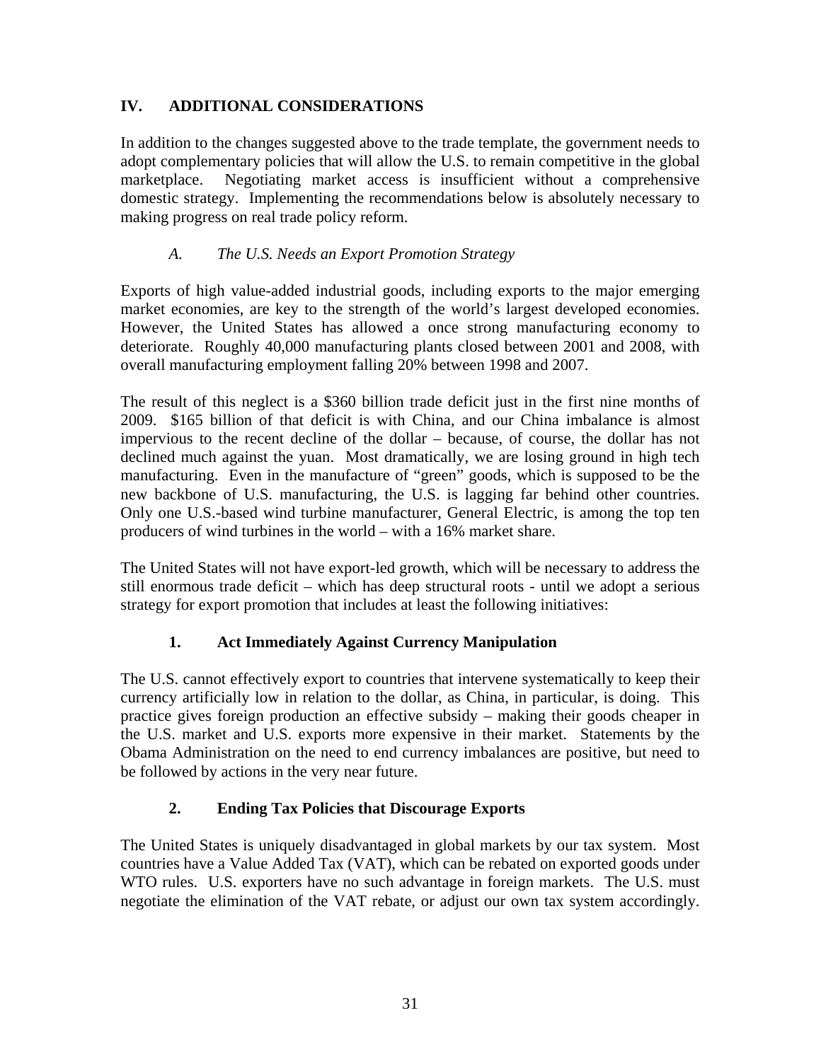## **IV. ADDITIONAL CONSIDERATIONS**

In addition to the changes suggested above to the trade template, the government needs to adopt complementary policies that will allow the U.S. to remain competitive in the global marketplace. Negotiating market access is insufficient without a comprehensive domestic strategy. Implementing the recommendations below is absolutely necessary to making progress on real trade policy reform.

### *A. The U.S. Needs an Export Promotion Strategy*

Exports of high value-added industrial goods, including exports to the major emerging market economies, are key to the strength of the world's largest developed economies. However, the United States has allowed a once strong manufacturing economy to deteriorate. Roughly 40,000 manufacturing plants closed between 2001 and 2008, with overall manufacturing employment falling 20% between 1998 and 2007.

The result of this neglect is a \$360 billion trade deficit just in the first nine months of 2009. \$165 billion of that deficit is with China, and our China imbalance is almost impervious to the recent decline of the dollar – because, of course, the dollar has not declined much against the yuan. Most dramatically, we are losing ground in high tech manufacturing. Even in the manufacture of "green" goods, which is supposed to be the new backbone of U.S. manufacturing, the U.S. is lagging far behind other countries. Only one U.S.-based wind turbine manufacturer, General Electric, is among the top ten producers of wind turbines in the world – with a 16% market share.

The United States will not have export-led growth, which will be necessary to address the still enormous trade deficit – which has deep structural roots - until we adopt a serious strategy for export promotion that includes at least the following initiatives:

## **1. Act Immediately Against Currency Manipulation**

The U.S. cannot effectively export to countries that intervene systematically to keep their currency artificially low in relation to the dollar, as China, in particular, is doing. This practice gives foreign production an effective subsidy – making their goods cheaper in the U.S. market and U.S. exports more expensive in their market. Statements by the Obama Administration on the need to end currency imbalances are positive, but need to be followed by actions in the very near future.

### **2. Ending Tax Policies that Discourage Exports**

The United States is uniquely disadvantaged in global markets by our tax system. Most countries have a Value Added Tax (VAT), which can be rebated on exported goods under WTO rules. U.S. exporters have no such advantage in foreign markets. The U.S. must negotiate the elimination of the VAT rebate, or adjust our own tax system accordingly.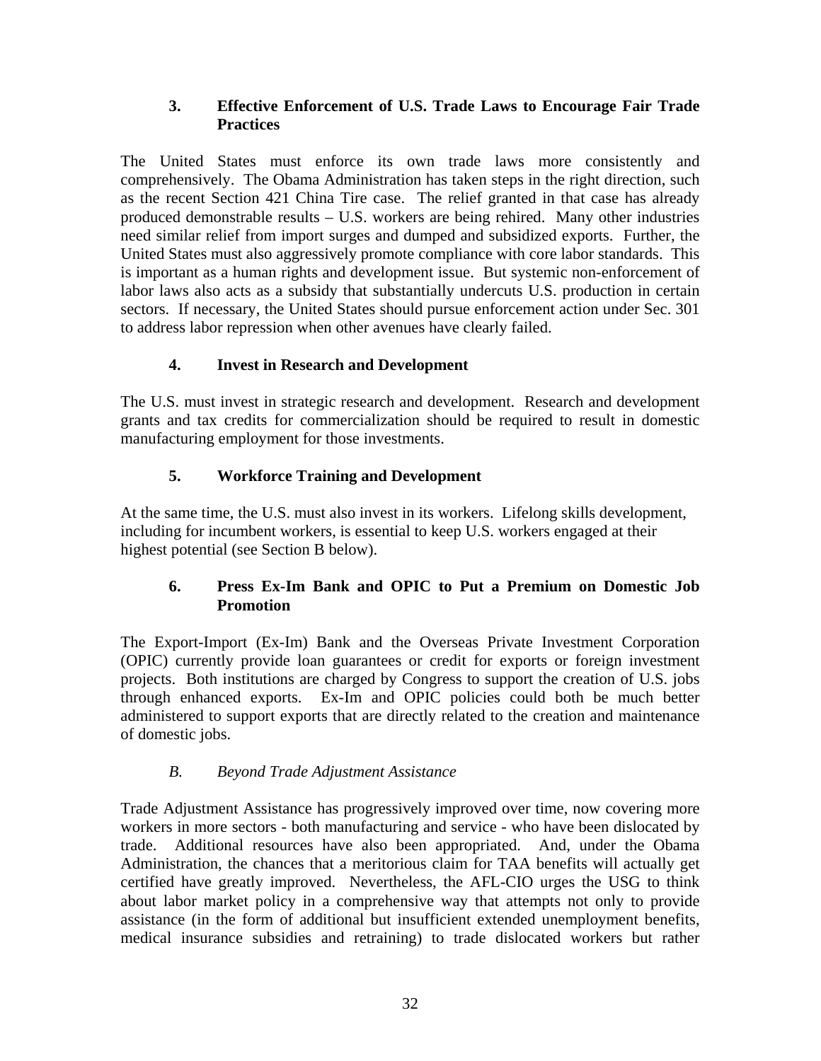### **3. Effective Enforcement of U.S. Trade Laws to Encourage Fair Trade Practices**

The United States must enforce its own trade laws more consistently and comprehensively. The Obama Administration has taken steps in the right direction, such as the recent Section 421 China Tire case. The relief granted in that case has already produced demonstrable results – U.S. workers are being rehired. Many other industries need similar relief from import surges and dumped and subsidized exports. Further, the United States must also aggressively promote compliance with core labor standards. This is important as a human rights and development issue. But systemic non-enforcement of labor laws also acts as a subsidy that substantially undercuts U.S. production in certain sectors. If necessary, the United States should pursue enforcement action under Sec. 301 to address labor repression when other avenues have clearly failed.

## **4. Invest in Research and Development**

The U.S. must invest in strategic research and development. Research and development grants and tax credits for commercialization should be required to result in domestic manufacturing employment for those investments.

## **5. Workforce Training and Development**

At the same time, the U.S. must also invest in its workers. Lifelong skills development, including for incumbent workers, is essential to keep U.S. workers engaged at their highest potential (see Section B below).

## **6. Press Ex-Im Bank and OPIC to Put a Premium on Domestic Job Promotion**

The Export-Import (Ex-Im) Bank and the Overseas Private Investment Corporation (OPIC) currently provide loan guarantees or credit for exports or foreign investment projects. Both institutions are charged by Congress to support the creation of U.S. jobs through enhanced exports. Ex-Im and OPIC policies could both be much better administered to support exports that are directly related to the creation and maintenance of domestic jobs.

## *B. Beyond Trade Adjustment Assistance*

Trade Adjustment Assistance has progressively improved over time, now covering more workers in more sectors - both manufacturing and service - who have been dislocated by trade. Additional resources have also been appropriated. And, under the Obama Administration, the chances that a meritorious claim for TAA benefits will actually get certified have greatly improved. Nevertheless, the AFL-CIO urges the USG to think about labor market policy in a comprehensive way that attempts not only to provide assistance (in the form of additional but insufficient extended unemployment benefits, medical insurance subsidies and retraining) to trade dislocated workers but rather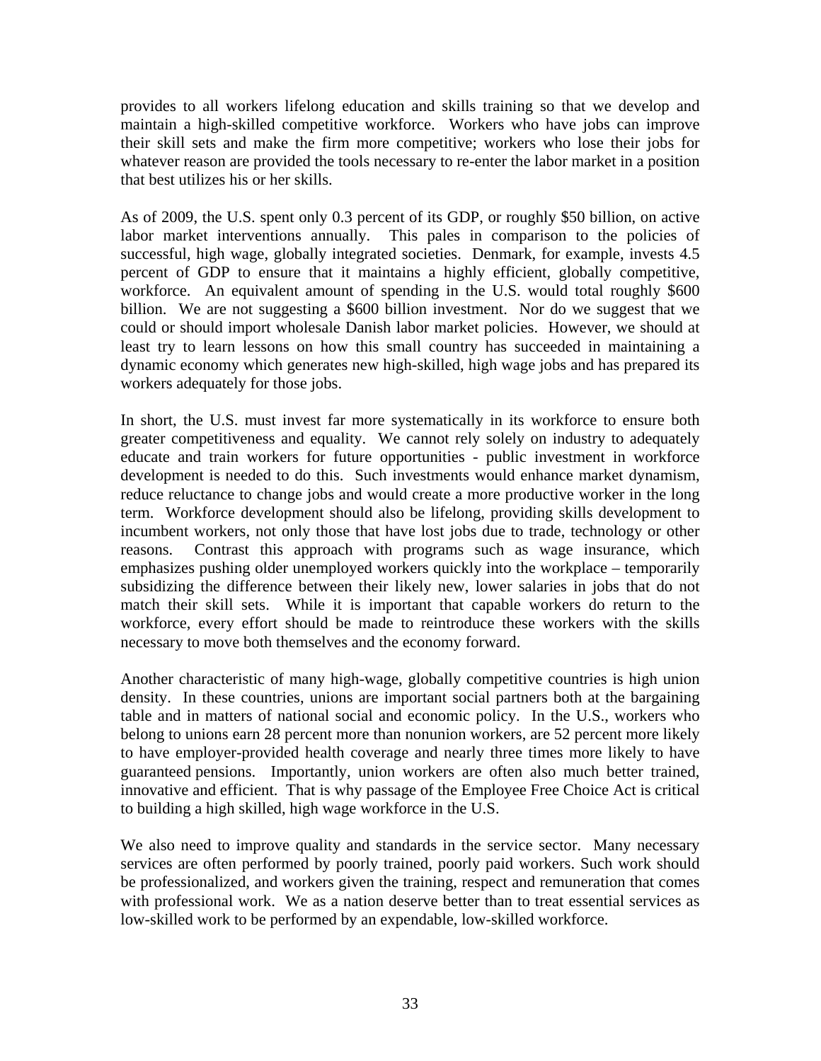provides to all workers lifelong education and skills training so that we develop and maintain a high-skilled competitive workforce. Workers who have jobs can improve their skill sets and make the firm more competitive; workers who lose their jobs for whatever reason are provided the tools necessary to re-enter the labor market in a position that best utilizes his or her skills.

As of 2009, the U.S. spent only 0.3 percent of its GDP, or roughly \$50 billion, on active labor market interventions annually. This pales in comparison to the policies of successful, high wage, globally integrated societies. Denmark, for example, invests 4.5 percent of GDP to ensure that it maintains a highly efficient, globally competitive, workforce. An equivalent amount of spending in the U.S. would total roughly \$600 billion. We are not suggesting a \$600 billion investment. Nor do we suggest that we could or should import wholesale Danish labor market policies. However, we should at least try to learn lessons on how this small country has succeeded in maintaining a dynamic economy which generates new high-skilled, high wage jobs and has prepared its workers adequately for those jobs.

In short, the U.S. must invest far more systematically in its workforce to ensure both greater competitiveness and equality. We cannot rely solely on industry to adequately educate and train workers for future opportunities - public investment in workforce development is needed to do this. Such investments would enhance market dynamism, reduce reluctance to change jobs and would create a more productive worker in the long term. Workforce development should also be lifelong, providing skills development to incumbent workers, not only those that have lost jobs due to trade, technology or other reasons. Contrast this approach with programs such as wage insurance, which emphasizes pushing older unemployed workers quickly into the workplace – temporarily subsidizing the difference between their likely new, lower salaries in jobs that do not match their skill sets. While it is important that capable workers do return to the workforce, every effort should be made to reintroduce these workers with the skills necessary to move both themselves and the economy forward.

Another characteristic of many high-wage, globally competitive countries is high union density. In these countries, unions are important social partners both at the bargaining table and in matters of national social and economic policy. In the U.S., workers who belong to unions earn 28 percent more than nonunion workers, are 52 percent more likely to have employer-provided health coverage and nearly three times more likely to have guaranteed pensions. Importantly, union workers are often also much better trained, innovative and efficient. That is why passage of the Employee Free Choice Act is critical to building a high skilled, high wage workforce in the U.S.

We also need to improve quality and standards in the service sector. Many necessary services are often performed by poorly trained, poorly paid workers. Such work should be professionalized, and workers given the training, respect and remuneration that comes with professional work. We as a nation deserve better than to treat essential services as low-skilled work to be performed by an expendable, low-skilled workforce.